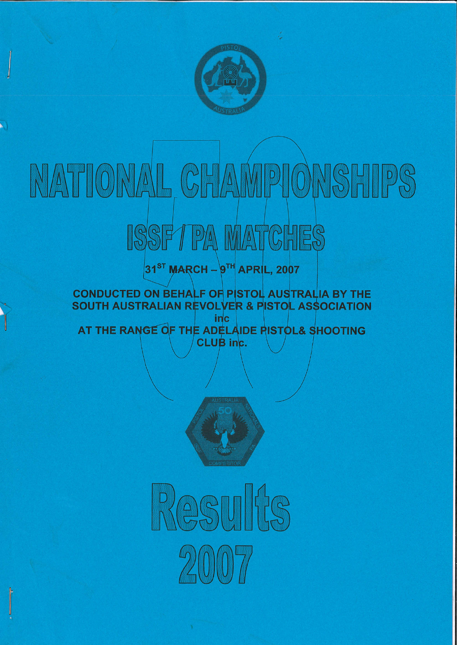

## VPIONSHIPS NATIONAL CH  $\sqrt{\Lambda}$

# ISSFTPA MATCHES

## 31<sup>ST</sup> MARCH - 9TH APRIL, 2007

#### **CONDUCTED ON BEHALF OF PISTOL AUSTRALIA BY THE** SOUTH AUSTRALIAN REVOLVER & PISTOL ASSOCIATION **inc**

AT THE RANGE OF THE ADELAIDE RISTOL& SHOOTING **CLUB** inc.



Rasults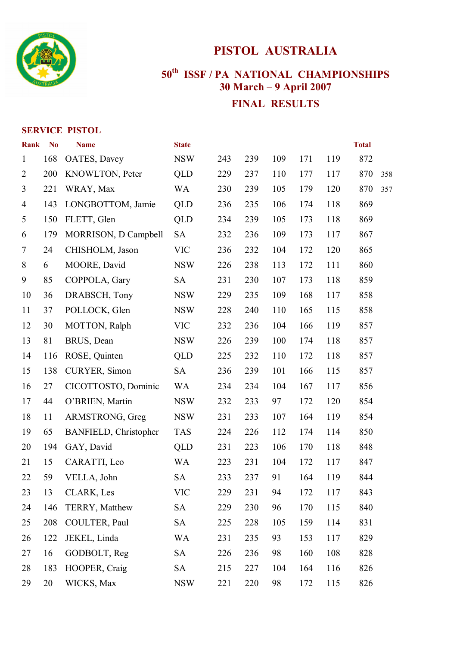

## **PISTOL AUSTRALIA**

## **th ISSF / PA NATIONAL CHAMPIONSHIPS 30 March – 9 April 2007 FINAL RESULTS**

#### **SERVICE PISTOL**

| <b>Rank</b>    | <b>No</b> | <b>Name</b>                  | <b>State</b> |     |     |     |     |     | <b>Total</b> |     |
|----------------|-----------|------------------------------|--------------|-----|-----|-----|-----|-----|--------------|-----|
| $\mathbf{1}$   | 168       | OATES, Davey                 | <b>NSW</b>   | 243 | 239 | 109 | 171 | 119 | 872          |     |
| $\overline{2}$ | 200       | KNOWLTON, Peter              | <b>QLD</b>   | 229 | 237 | 110 | 177 | 117 | 870          | 358 |
| 3              | 221       | WRAY, Max                    | <b>WA</b>    | 230 | 239 | 105 | 179 | 120 | 870          | 357 |
| 4              | 143       | LONGBOTTOM, Jamie            | <b>QLD</b>   | 236 | 235 | 106 | 174 | 118 | 869          |     |
| 5              | 150       | FLETT, Glen                  | <b>QLD</b>   | 234 | 239 | 105 | 173 | 118 | 869          |     |
| 6              | 179       | MORRISON, D Campbell         | <b>SA</b>    | 232 | 236 | 109 | 173 | 117 | 867          |     |
| 7              | 24        | CHISHOLM, Jason              | <b>VIC</b>   | 236 | 232 | 104 | 172 | 120 | 865          |     |
| 8              | 6         | MOORE, David                 | <b>NSW</b>   | 226 | 238 | 113 | 172 | 111 | 860          |     |
| 9              | 85        | COPPOLA, Gary                | <b>SA</b>    | 231 | 230 | 107 | 173 | 118 | 859          |     |
| 10             | 36        | DRABSCH, Tony                | <b>NSW</b>   | 229 | 235 | 109 | 168 | 117 | 858          |     |
| 11             | 37        | POLLOCK, Glen                | <b>NSW</b>   | 228 | 240 | 110 | 165 | 115 | 858          |     |
| 12             | 30        | MOTTON, Ralph                | <b>VIC</b>   | 232 | 236 | 104 | 166 | 119 | 857          |     |
| 13             | 81        | BRUS, Dean                   | <b>NSW</b>   | 226 | 239 | 100 | 174 | 118 | 857          |     |
| 14             | 116       | ROSE, Quinten                | <b>QLD</b>   | 225 | 232 | 110 | 172 | 118 | 857          |     |
| 15             | 138       | CURYER, Simon                | <b>SA</b>    | 236 | 239 | 101 | 166 | 115 | 857          |     |
| 16             | 27        | CICOTTOSTO, Dominic          | WA           | 234 | 234 | 104 | 167 | 117 | 856          |     |
| 17             | 44        | O'BRIEN, Martin              | <b>NSW</b>   | 232 | 233 | 97  | 172 | 120 | 854          |     |
| 18             | 11        | ARMSTRONG, Greg              | <b>NSW</b>   | 231 | 233 | 107 | 164 | 119 | 854          |     |
| 19             | 65        | <b>BANFIELD, Christopher</b> | <b>TAS</b>   | 224 | 226 | 112 | 174 | 114 | 850          |     |
| 20             | 194       | GAY, David                   | <b>QLD</b>   | 231 | 223 | 106 | 170 | 118 | 848          |     |
| 21             | 15        | CARATTI, Leo                 | <b>WA</b>    | 223 | 231 | 104 | 172 | 117 | 847          |     |
| 22             | 59        | VELLA, John                  | <b>SA</b>    | 233 | 237 | 91  | 164 | 119 | 844          |     |
| 23             | 13        | <b>CLARK, Les</b>            | <b>VIC</b>   | 229 | 231 | 94  | 172 | 117 | 843          |     |
| 24             | 146       | TERRY, Matthew               | <b>SA</b>    | 229 | 230 | 96  | 170 | 115 | 840          |     |
| 25             | 208       | COULTER, Paul                | <b>SA</b>    | 225 | 228 | 105 | 159 | 114 | 831          |     |
| 26             | 122       | JEKEL, Linda                 | <b>WA</b>    | 231 | 235 | 93  | 153 | 117 | 829          |     |
| 27             | 16        | GODBOLT, Reg                 | <b>SA</b>    | 226 | 236 | 98  | 160 | 108 | 828          |     |
| 28             | 183       | HOOPER, Craig                | <b>SA</b>    | 215 | 227 | 104 | 164 | 116 | 826          |     |
| 29             | 20        | WICKS, Max                   | <b>NSW</b>   | 221 | 220 | 98  | 172 | 115 | 826          |     |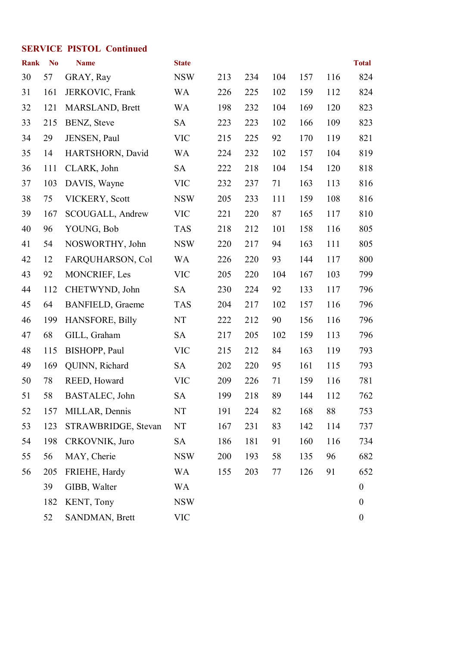#### **SERVICE PISTOL Continued**

| <b>Rank</b> | N <sub>o</sub> | <b>Name</b>             | <b>State</b> |     |     |     |     |     | <b>Total</b>     |
|-------------|----------------|-------------------------|--------------|-----|-----|-----|-----|-----|------------------|
| 30          | 57             | GRAY, Ray               | <b>NSW</b>   | 213 | 234 | 104 | 157 | 116 | 824              |
| 31          | 161            | JERKOVIC, Frank         | WA           | 226 | 225 | 102 | 159 | 112 | 824              |
| 32          | 121            | MARSLAND, Brett         | <b>WA</b>    | 198 | 232 | 104 | 169 | 120 | 823              |
| 33          | 215            | BENZ, Steve             | <b>SA</b>    | 223 | 223 | 102 | 166 | 109 | 823              |
| 34          | 29             | JENSEN, Paul            | <b>VIC</b>   | 215 | 225 | 92  | 170 | 119 | 821              |
| 35          | 14             | HARTSHORN, David        | <b>WA</b>    | 224 | 232 | 102 | 157 | 104 | 819              |
| 36          | 111            | CLARK, John             | <b>SA</b>    | 222 | 218 | 104 | 154 | 120 | 818              |
| 37          | 103            | DAVIS, Wayne            | <b>VIC</b>   | 232 | 237 | 71  | 163 | 113 | 816              |
| 38          | 75             | VICKERY, Scott          | <b>NSW</b>   | 205 | 233 | 111 | 159 | 108 | 816              |
| 39          | 167            | SCOUGALL, Andrew        | <b>VIC</b>   | 221 | 220 | 87  | 165 | 117 | 810              |
| 40          | 96             | YOUNG, Bob              | <b>TAS</b>   | 218 | 212 | 101 | 158 | 116 | 805              |
| 41          | 54             | NOSWORTHY, John         | <b>NSW</b>   | 220 | 217 | 94  | 163 | 111 | 805              |
| 42          | 12             | FARQUHARSON, Col        | <b>WA</b>    | 226 | 220 | 93  | 144 | 117 | 800              |
| 43          | 92             | MONCRIEF, Les           | <b>VIC</b>   | 205 | 220 | 104 | 167 | 103 | 799              |
| 44          | 112            | CHETWYND, John          | <b>SA</b>    | 230 | 224 | 92  | 133 | 117 | 796              |
| 45          | 64             | <b>BANFIELD, Graeme</b> | <b>TAS</b>   | 204 | 217 | 102 | 157 | 116 | 796              |
| 46          | 199            | <b>HANSFORE, Billy</b>  | NT           | 222 | 212 | 90  | 156 | 116 | 796              |
| 47          | 68             | GILL, Graham            | <b>SA</b>    | 217 | 205 | 102 | 159 | 113 | 796              |
| 48          | 115            | BISHOPP, Paul           | <b>VIC</b>   | 215 | 212 | 84  | 163 | 119 | 793              |
| 49          | 169            | QUINN, Richard          | <b>SA</b>    | 202 | 220 | 95  | 161 | 115 | 793              |
| 50          | 78             | REED, Howard            | <b>VIC</b>   | 209 | 226 | 71  | 159 | 116 | 781              |
| 51          | 58             | BASTALEC, John          | <b>SA</b>    | 199 | 218 | 89  | 144 | 112 | 762              |
| 52          | 157            | MILLAR, Dennis          | NT           | 191 | 224 | 82  | 168 | 88  | 753              |
| 53          | 123            | STRAWBRIDGE, Stevan     | NT           | 167 | 231 | 83  | 142 | 114 | 737              |
| 54          | 198            | CRKOVNIK, Juro          | <b>SA</b>    | 186 | 181 | 91  | 160 | 116 | 734              |
| 55          | 56             | MAY, Cherie             | <b>NSW</b>   | 200 | 193 | 58  | 135 | 96  | 682              |
| 56          | 205            | FRIEHE, Hardy           | <b>WA</b>    | 155 | 203 | 77  | 126 | 91  | 652              |
|             | 39             | GIBB, Walter            | <b>WA</b>    |     |     |     |     |     | $\boldsymbol{0}$ |
|             | 182            | KENT, Tony              | <b>NSW</b>   |     |     |     |     |     | $\boldsymbol{0}$ |
|             | 52             | SANDMAN, Brett          | <b>VIC</b>   |     |     |     |     |     | $\boldsymbol{0}$ |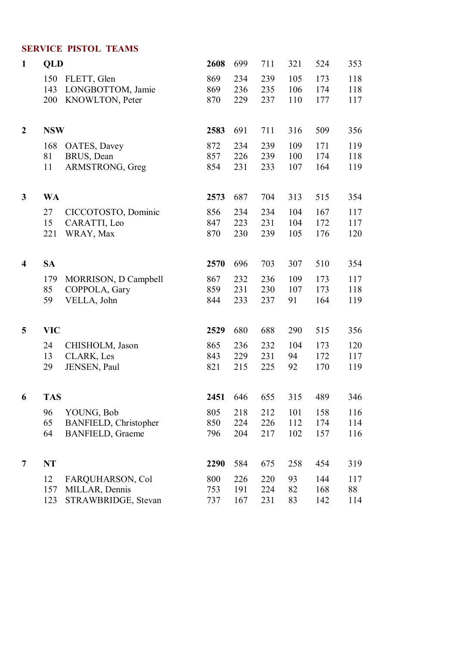#### **SERVICE PISTOL TEAMS**

| $\mathbf{1}$            | QLD        |                              | 2608 | 699 | 711 | 321 | 524 | 353 |
|-------------------------|------------|------------------------------|------|-----|-----|-----|-----|-----|
|                         | 150        | FLETT, Glen                  | 869  | 234 | 239 | 105 | 173 | 118 |
|                         | 143        | LONGBOTTOM, Jamie            | 869  | 236 | 235 | 106 | 174 | 118 |
|                         | 200        | KNOWLTON, Peter              | 870  | 229 | 237 | 110 | 177 | 117 |
| $\overline{2}$          | <b>NSW</b> |                              | 2583 | 691 | 711 | 316 | 509 | 356 |
|                         | 168        | OATES, Davey                 | 872  | 234 | 239 | 109 | 171 | 119 |
|                         | 81         | BRUS, Dean                   | 857  | 226 | 239 | 100 | 174 | 118 |
|                         | 11         | ARMSTRONG, Greg              | 854  | 231 | 233 | 107 | 164 | 119 |
| 3                       | <b>WA</b>  |                              | 2573 | 687 | 704 | 313 | 515 | 354 |
|                         | 27         | CICCOTOSTO, Dominic          | 856  | 234 | 234 | 104 | 167 | 117 |
|                         | 15         | CARATTI, Leo                 | 847  | 223 | 231 | 104 | 172 | 117 |
|                         | 221        | WRAY, Max                    | 870  | 230 | 239 | 105 | 176 | 120 |
| $\overline{\mathbf{4}}$ | <b>SA</b>  |                              | 2570 | 696 | 703 | 307 | 510 | 354 |
|                         | 179        | MORRISON, D Campbell         | 867  | 232 | 236 | 109 | 173 | 117 |
|                         | 85         | COPPOLA, Gary                | 859  | 231 | 230 | 107 | 173 | 118 |
|                         | 59         | VELLA, John                  | 844  | 233 | 237 | 91  | 164 | 119 |
| 5                       | <b>VIC</b> |                              | 2529 | 680 | 688 | 290 | 515 | 356 |
|                         | 24         | CHISHOLM, Jason              | 865  | 236 | 232 | 104 | 173 | 120 |
|                         | 13         | CLARK, Les                   | 843  | 229 | 231 | 94  | 172 | 117 |
|                         | 29         | JENSEN, Paul                 | 821  | 215 | 225 | 92  | 170 | 119 |
| 6                       | <b>TAS</b> |                              | 2451 | 646 | 655 | 315 | 489 | 346 |
|                         | 96         | YOUNG, Bob                   | 805  | 218 | 212 | 101 | 158 | 116 |
|                         | 65         | <b>BANFIELD, Christopher</b> | 850  | 224 | 226 | 112 | 174 | 114 |
|                         | 64         | <b>BANFIELD, Graeme</b>      | 796  | 204 | 217 | 102 | 157 | 116 |
| 7                       | <b>NT</b>  |                              | 2290 | 584 | 675 | 258 | 454 | 319 |
|                         | 12         | FARQUHARSON, Col             | 800  | 226 | 220 | 93  | 144 | 117 |
|                         | 157        | MILLAR, Dennis               | 753  | 191 | 224 | 82  | 168 | 88  |
|                         | 123        | STRAWBRIDGE, Stevan          | 737  | 167 | 231 | 83  | 142 | 114 |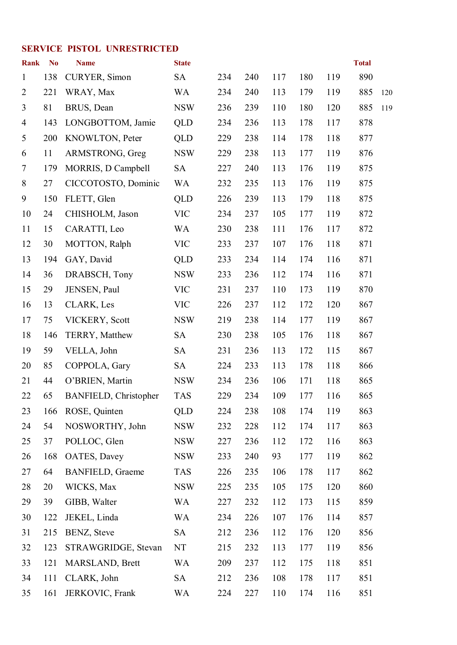#### **SERVICE PISTOL UNRESTRICTED**

| <b>Rank</b>    | N <sub>0</sub> | <b>Name</b>                  | <b>State</b> |     |     |     |     |     | <b>Total</b> |     |
|----------------|----------------|------------------------------|--------------|-----|-----|-----|-----|-----|--------------|-----|
| $\mathbf{1}$   | 138            | CURYER, Simon                | <b>SA</b>    | 234 | 240 | 117 | 180 | 119 | 890          |     |
| $\overline{2}$ | 221            | WRAY, Max                    | WA           | 234 | 240 | 113 | 179 | 119 | 885          | 120 |
| $\overline{3}$ | 81             | BRUS, Dean                   | <b>NSW</b>   | 236 | 239 | 110 | 180 | 120 | 885          | 119 |
| $\overline{4}$ | 143            | LONGBOTTOM, Jamie            | <b>QLD</b>   | 234 | 236 | 113 | 178 | 117 | 878          |     |
| 5              | 200            | KNOWLTON, Peter              | <b>QLD</b>   | 229 | 238 | 114 | 178 | 118 | 877          |     |
| 6              | 11             | ARMSTRONG, Greg              | <b>NSW</b>   | 229 | 238 | 113 | 177 | 119 | 876          |     |
| $\tau$         | 179            | MORRIS, D Campbell           | <b>SA</b>    | 227 | 240 | 113 | 176 | 119 | 875          |     |
| 8              | 27             | CICCOTOSTO, Dominic          | <b>WA</b>    | 232 | 235 | 113 | 176 | 119 | 875          |     |
| 9              | 150            | FLETT, Glen                  | <b>QLD</b>   | 226 | 239 | 113 | 179 | 118 | 875          |     |
| 10             | 24             | CHISHOLM, Jason              | <b>VIC</b>   | 234 | 237 | 105 | 177 | 119 | 872          |     |
| 11             | 15             | CARATTI, Leo                 | <b>WA</b>    | 230 | 238 | 111 | 176 | 117 | 872          |     |
| 12             | 30             | MOTTON, Ralph                | <b>VIC</b>   | 233 | 237 | 107 | 176 | 118 | 871          |     |
| 13             | 194            | GAY, David                   | <b>QLD</b>   | 233 | 234 | 114 | 174 | 116 | 871          |     |
| 14             | 36             | DRABSCH, Tony                | <b>NSW</b>   | 233 | 236 | 112 | 174 | 116 | 871          |     |
| 15             | 29             | JENSEN, Paul                 | <b>VIC</b>   | 231 | 237 | 110 | 173 | 119 | 870          |     |
| 16             | 13             | <b>CLARK, Les</b>            | <b>VIC</b>   | 226 | 237 | 112 | 172 | 120 | 867          |     |
| 17             | 75             | VICKERY, Scott               | <b>NSW</b>   | 219 | 238 | 114 | 177 | 119 | 867          |     |
| 18             | 146            | TERRY, Matthew               | <b>SA</b>    | 230 | 238 | 105 | 176 | 118 | 867          |     |
| 19             | 59             | VELLA, John                  | <b>SA</b>    | 231 | 236 | 113 | 172 | 115 | 867          |     |
| 20             | 85             | COPPOLA, Gary                | <b>SA</b>    | 224 | 233 | 113 | 178 | 118 | 866          |     |
| 21             | 44             | O'BRIEN, Martin              | <b>NSW</b>   | 234 | 236 | 106 | 171 | 118 | 865          |     |
| 22             | 65             | <b>BANFIELD, Christopher</b> | <b>TAS</b>   | 229 | 234 | 109 | 177 | 116 | 865          |     |
| 23             | 166            | ROSE, Quinten                | <b>QLD</b>   | 224 | 238 | 108 | 174 | 119 | 863          |     |
| 24             | 54             | NOSWORTHY, John              | <b>NSW</b>   | 232 | 228 | 112 | 174 | 117 | 863          |     |
| 25             | 37             | POLLOC, Glen                 | <b>NSW</b>   | 227 | 236 | 112 | 172 | 116 | 863          |     |
| 26             | 168            | OATES, Davey                 | <b>NSW</b>   | 233 | 240 | 93  | 177 | 119 | 862          |     |
| 27             | 64             | <b>BANFIELD, Graeme</b>      | <b>TAS</b>   | 226 | 235 | 106 | 178 | 117 | 862          |     |
| 28             | 20             | WICKS, Max                   | <b>NSW</b>   | 225 | 235 | 105 | 175 | 120 | 860          |     |
| 29             | 39             | GIBB, Walter                 | WA           | 227 | 232 | 112 | 173 | 115 | 859          |     |
| 30             | 122            | JEKEL, Linda                 | <b>WA</b>    | 234 | 226 | 107 | 176 | 114 | 857          |     |
| 31             | 215            | BENZ, Steve                  | <b>SA</b>    | 212 | 236 | 112 | 176 | 120 | 856          |     |
| 32             | 123            | STRAWGRIDGE, Stevan          | NT           | 215 | 232 | 113 | 177 | 119 | 856          |     |
| 33             | 121            | MARSLAND, Brett              | <b>WA</b>    | 209 | 237 | 112 | 175 | 118 | 851          |     |
| 34             | 111            | CLARK, John                  | <b>SA</b>    | 212 | 236 | 108 | 178 | 117 | 851          |     |
| 35             | 161            | JERKOVIC, Frank              | <b>WA</b>    | 224 | 227 | 110 | 174 | 116 | 851          |     |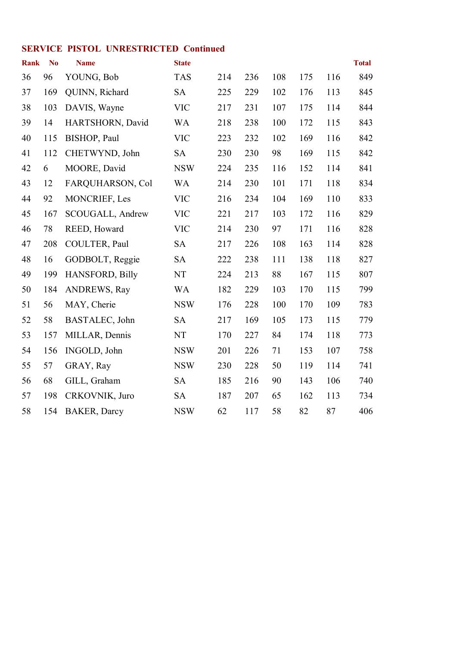#### **SERVICE PISTOL UNRESTRICTED Continued**

| <b>Rank</b> | N <sub>0</sub> | <b>Name</b>            | <b>State</b> |     |     |     |     |     | <b>Total</b> |
|-------------|----------------|------------------------|--------------|-----|-----|-----|-----|-----|--------------|
| 36          | 96             | YOUNG, Bob             | <b>TAS</b>   | 214 | 236 | 108 | 175 | 116 | 849          |
| 37          | 169            | QUINN, Richard         | <b>SA</b>    | 225 | 229 | 102 | 176 | 113 | 845          |
| 38          | 103            | DAVIS, Wayne           | <b>VIC</b>   | 217 | 231 | 107 | 175 | 114 | 844          |
| 39          | 14             | HARTSHORN, David       | <b>WA</b>    | 218 | 238 | 100 | 172 | 115 | 843          |
| 40          | 115            | BISHOP, Paul           | <b>VIC</b>   | 223 | 232 | 102 | 169 | 116 | 842          |
| 41          | 112            | CHETWYND, John         | <b>SA</b>    | 230 | 230 | 98  | 169 | 115 | 842          |
| 42          | 6              | MOORE, David           | <b>NSW</b>   | 224 | 235 | 116 | 152 | 114 | 841          |
| 43          | 12             | FARQUHARSON, Col       | <b>WA</b>    | 214 | 230 | 101 | 171 | 118 | 834          |
| 44          | 92             | MONCRIEF, Les          | <b>VIC</b>   | 216 | 234 | 104 | 169 | 110 | 833          |
| 45          | 167            | SCOUGALL, Andrew       | <b>VIC</b>   | 221 | 217 | 103 | 172 | 116 | 829          |
| 46          | 78             | REED, Howard           | <b>VIC</b>   | 214 | 230 | 97  | 171 | 116 | 828          |
| 47          | 208            | COULTER, Paul          | <b>SA</b>    | 217 | 226 | 108 | 163 | 114 | 828          |
| 48          | 16             | GODBOLT, Reggie        | <b>SA</b>    | 222 | 238 | 111 | 138 | 118 | 827          |
| 49          | 199            | <b>HANSFORD, Billy</b> | <b>NT</b>    | 224 | 213 | 88  | 167 | 115 | 807          |
| 50          | 184            | ANDREWS, Ray           | <b>WA</b>    | 182 | 229 | 103 | 170 | 115 | 799          |
| 51          | 56             | MAY, Cherie            | <b>NSW</b>   | 176 | 228 | 100 | 170 | 109 | 783          |
| 52          | 58             | BASTALEC, John         | <b>SA</b>    | 217 | 169 | 105 | 173 | 115 | 779          |
| 53          | 157            | MILLAR, Dennis         | NT           | 170 | 227 | 84  | 174 | 118 | 773          |
| 54          | 156            | INGOLD, John           | <b>NSW</b>   | 201 | 226 | 71  | 153 | 107 | 758          |
| 55          | 57             | GRAY, Ray              | <b>NSW</b>   | 230 | 228 | 50  | 119 | 114 | 741          |
| 56          | 68             | GILL, Graham           | <b>SA</b>    | 185 | 216 | 90  | 143 | 106 | 740          |
| 57          | 198            | CRKOVNIK, Juro         | <b>SA</b>    | 187 | 207 | 65  | 162 | 113 | 734          |
| 58          | 154            | <b>BAKER, Darcy</b>    | <b>NSW</b>   | 62  | 117 | 58  | 82  | 87  | 406          |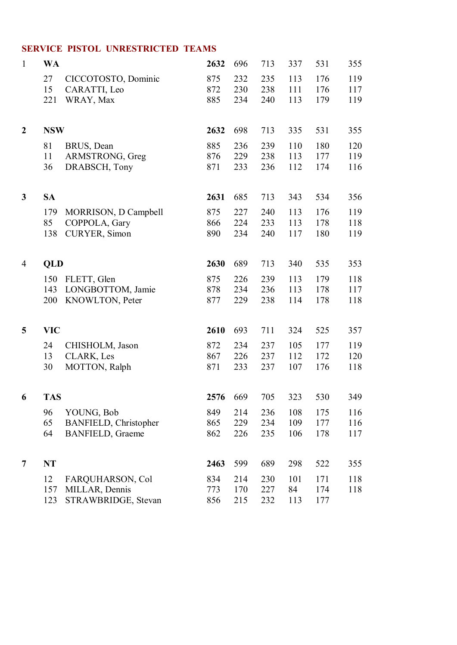#### **SERVICE PISTOL UNRESTRICTED TEAMS**

| $\mathbf{1}$     | <b>WA</b>         |                                                                       | 2632              | 696               | 713               | 337               | 531               | 355               |
|------------------|-------------------|-----------------------------------------------------------------------|-------------------|-------------------|-------------------|-------------------|-------------------|-------------------|
|                  | 27<br>15<br>221   | CICCOTOSTO, Dominic<br>CARATTI, Leo<br>WRAY, Max                      | 875<br>872<br>885 | 232<br>230<br>234 | 235<br>238<br>240 | 113<br>111<br>113 | 176<br>176<br>179 | 119<br>117<br>119 |
| $\boldsymbol{2}$ | <b>NSW</b>        |                                                                       | 2632              | 698               | 713               | 335               | 531               | 355               |
|                  | 81<br>11<br>36    | BRUS, Dean<br>ARMSTRONG, Greg<br>DRABSCH, Tony                        | 885<br>876<br>871 | 236<br>229<br>233 | 239<br>238<br>236 | 110<br>113<br>112 | 180<br>177<br>174 | 120<br>119<br>116 |
| 3                | <b>SA</b>         |                                                                       | 2631              | 685               | 713               | 343               | 534               | 356               |
|                  | 179<br>85<br>138  | MORRISON, D Campbell<br>COPPOLA, Gary<br>CURYER, Simon                | 875<br>866<br>890 | 227<br>224<br>234 | 240<br>233<br>240 | 113<br>113<br>117 | 176<br>178<br>180 | 119<br>118<br>119 |
| 4                | QLD               |                                                                       | 2630              | 689               | 713               | 340               | 535               | 353               |
|                  | 150<br>143<br>200 | FLETT, Glen<br>LONGBOTTOM, Jamie<br>KNOWLTON, Peter                   | 875<br>878<br>877 | 226<br>234<br>229 | 239<br>236<br>238 | 113<br>113<br>114 | 179<br>178<br>178 | 118<br>117<br>118 |
| 5                | <b>VIC</b>        |                                                                       | 2610              | 693               | 711               | 324               | 525               | 357               |
|                  | 24<br>13<br>30    | CHISHOLM, Jason<br><b>CLARK, Les</b><br>MOTTON, Ralph                 | 872<br>867<br>871 | 234<br>226<br>233 | 237<br>237<br>237 | 105<br>112<br>107 | 177<br>172<br>176 | 119<br>120<br>118 |
| 6                | <b>TAS</b>        |                                                                       | 2576              | 669               | 705               | 323               | 530               | 349               |
|                  | 96<br>65<br>64    | YOUNG, Bob<br><b>BANFIELD, Christopher</b><br><b>BANFIELD, Graeme</b> | 849<br>865<br>862 | 214<br>229<br>226 | 236<br>234<br>235 | 108<br>109<br>106 | 175<br>177<br>178 | 116<br>116<br>117 |
| 7                | <b>NT</b>         |                                                                       | 2463              | 599               | 689               | 298               | 522               | 355               |
|                  | 12<br>157<br>123  | FARQUHARSON, Col<br>MILLAR, Dennis<br>STRAWBRIDGE, Stevan             | 834<br>773<br>856 | 214<br>170<br>215 | 230<br>227<br>232 | 101<br>84<br>113  | 171<br>174<br>177 | 118<br>118        |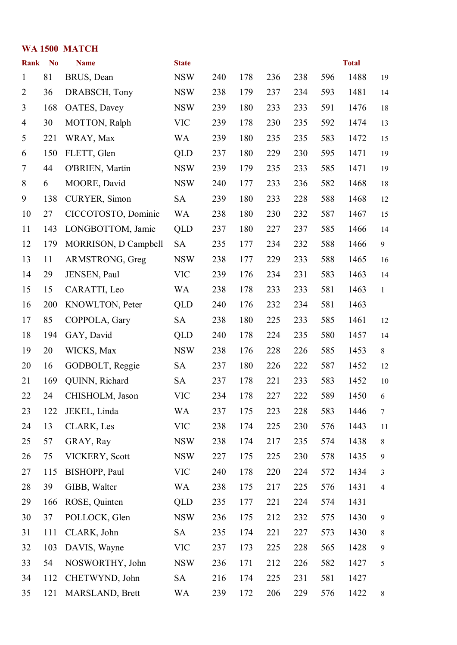| WA 1500 MATCH  |                |                      |              |     |     |     |     |     |              |                  |
|----------------|----------------|----------------------|--------------|-----|-----|-----|-----|-----|--------------|------------------|
| <b>Rank</b>    | N <sub>0</sub> | <b>Name</b>          | <b>State</b> |     |     |     |     |     | <b>Total</b> |                  |
| $\mathbf{1}$   | 81             | BRUS, Dean           | <b>NSW</b>   | 240 | 178 | 236 | 238 | 596 | 1488         | 19               |
| $\overline{2}$ | 36             | DRABSCH, Tony        | <b>NSW</b>   | 238 | 179 | 237 | 234 | 593 | 1481         | 14               |
| 3              | 168            | OATES, Davey         | <b>NSW</b>   | 239 | 180 | 233 | 233 | 591 | 1476         | 18               |
| $\overline{4}$ | 30             | MOTTON, Ralph        | <b>VIC</b>   | 239 | 178 | 230 | 235 | 592 | 1474         | 13               |
| 5              | 221            | WRAY, Max            | <b>WA</b>    | 239 | 180 | 235 | 235 | 583 | 1472         | 15               |
| 6              | 150            | FLETT, Glen          | QLD          | 237 | 180 | 229 | 230 | 595 | 1471         | 19               |
| $\tau$         | 44             | O'BRIEN, Martin      | <b>NSW</b>   | 239 | 179 | 235 | 233 | 585 | 1471         | 19               |
| $8\,$          | 6              | MOORE, David         | <b>NSW</b>   | 240 | 177 | 233 | 236 | 582 | 1468         | 18               |
| 9              | 138            | CURYER, Simon        | <b>SA</b>    | 239 | 180 | 233 | 228 | 588 | 1468         | 12               |
| 10             | 27             | CICCOTOSTO, Dominic  | <b>WA</b>    | 238 | 180 | 230 | 232 | 587 | 1467         | 15               |
| 11             | 143            | LONGBOTTOM, Jamie    | QLD          | 237 | 180 | 227 | 237 | 585 | 1466         | 14               |
| 12             | 179            | MORRISON, D Campbell | <b>SA</b>    | 235 | 177 | 234 | 232 | 588 | 1466         | 9                |
| 13             | 11             | ARMSTRONG, Greg      | <b>NSW</b>   | 238 | 177 | 229 | 233 | 588 | 1465         | 16               |
| 14             | 29             | JENSEN, Paul         | <b>VIC</b>   | 239 | 176 | 234 | 231 | 583 | 1463         | 14               |
| 15             | 15             | CARATTI, Leo         | <b>WA</b>    | 238 | 178 | 233 | 233 | 581 | 1463         | $\mathbf{1}$     |
| 16             | 200            | KNOWLTON, Peter      | QLD          | 240 | 176 | 232 | 234 | 581 | 1463         |                  |
| 17             | 85             | COPPOLA, Gary        | <b>SA</b>    | 238 | 180 | 225 | 233 | 585 | 1461         | 12               |
| 18             | 194            | GAY, David           | QLD          | 240 | 178 | 224 | 235 | 580 | 1457         | 14               |
| 19             | 20             | WICKS, Max           | <b>NSW</b>   | 238 | 176 | 228 | 226 | 585 | 1453         | $8\,$            |
| 20             | 16             | GODBOLT, Reggie      | <b>SA</b>    | 237 | 180 | 226 | 222 | 587 | 1452         | 12               |
| 21             | 169            | QUINN, Richard       | <b>SA</b>    | 237 | 178 | 221 | 233 | 583 | 1452         | 10               |
| 22             | 24             | CHISHOLM, Jason      | <b>VIC</b>   | 234 | 178 | 227 | 222 | 589 | 1450         | 6                |
| 23             | 122            | JEKEL, Linda         | WA           | 237 | 175 | 223 | 228 | 583 | 1446         | $\tau$           |
| 24             | 13             | <b>CLARK, Les</b>    | <b>VIC</b>   | 238 | 174 | 225 | 230 | 576 | 1443         | 11               |
| 25             | 57             | GRAY, Ray            | <b>NSW</b>   | 238 | 174 | 217 | 235 | 574 | 1438         | 8                |
| 26             | 75             | VICKERY, Scott       | <b>NSW</b>   | 227 | 175 | 225 | 230 | 578 | 1435         | 9                |
| 27             | 115            | BISHOPP, Paul        | <b>VIC</b>   | 240 | 178 | 220 | 224 | 572 | 1434         | 3                |
| 28             | 39             | GIBB, Walter         | WA           | 238 | 175 | 217 | 225 | 576 | 1431         | $\overline{4}$   |
| 29             | 166            | ROSE, Quinten        | <b>QLD</b>   | 235 | 177 | 221 | 224 | 574 | 1431         |                  |
| 30             | 37             | POLLOCK, Glen        | <b>NSW</b>   | 236 | 175 | 212 | 232 | 575 | 1430         | $\boldsymbol{9}$ |
| 31             | 111            | CLARK, John          | <b>SA</b>    | 235 | 174 | 221 | 227 | 573 | 1430         | $\,8\,$          |
| 32             | 103            | DAVIS, Wayne         | <b>VIC</b>   | 237 | 173 | 225 | 228 | 565 | 1428         | $\mathbf{9}$     |
| 33             | 54             | NOSWORTHY, John      | <b>NSW</b>   | 236 | 171 | 212 | 226 | 582 | 1427         | 5                |
| 34             | 112            | CHETWYND, John       | <b>SA</b>    | 216 | 174 | 225 | 231 | 581 | 1427         |                  |
| 35             | 121            | MARSLAND, Brett      | WA           | 239 | 172 | 206 | 229 | 576 | 1422         | $8\,$            |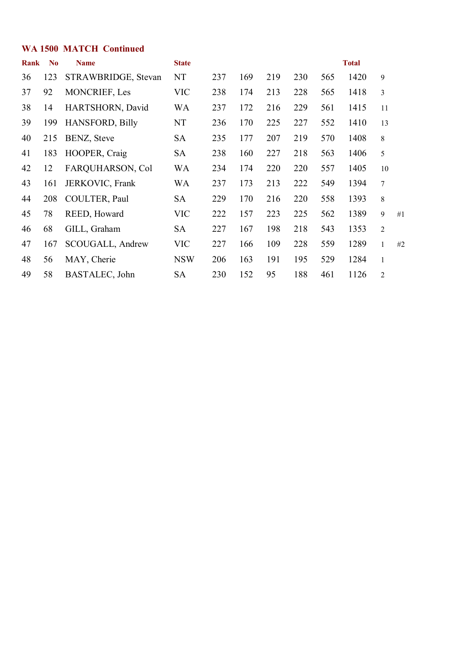#### **WA 1500 MATCH Continued**

| Rank | N <sub>0</sub> | <b>Name</b>            | <b>State</b> |     |     |     |     |     | <b>Total</b> |                |    |
|------|----------------|------------------------|--------------|-----|-----|-----|-----|-----|--------------|----------------|----|
| 36   | 123            | STRAWBRIDGE, Stevan    | NT           | 237 | 169 | 219 | 230 | 565 | 1420         | 9              |    |
| 37   | 92             | <b>MONCRIEF, Les</b>   | <b>VIC</b>   | 238 | 174 | 213 | 228 | 565 | 1418         | 3              |    |
| 38   | 14             | HARTSHORN, David       | <b>WA</b>    | 237 | 172 | 216 | 229 | 561 | 1415         | 11             |    |
| 39   | 199            | <b>HANSFORD, Billy</b> | NT           | 236 | 170 | 225 | 227 | 552 | 1410         | 13             |    |
| 40   | 215            | BENZ, Steve            | <b>SA</b>    | 235 | 177 | 207 | 219 | 570 | 1408         | 8              |    |
| 41   | 183            | HOOPER, Craig          | <b>SA</b>    | 238 | 160 | 227 | 218 | 563 | 1406         | 5              |    |
| 42   | 12             | FARQUHARSON, Col       | <b>WA</b>    | 234 | 174 | 220 | 220 | 557 | 1405         | 10             |    |
| 43   | 161            | JERKOVIC, Frank        | WA           | 237 | 173 | 213 | 222 | 549 | 1394         | $\overline{7}$ |    |
| 44   | 208            | COULTER, Paul          | <b>SA</b>    | 229 | 170 | 216 | 220 | 558 | 1393         | 8              |    |
| 45   | 78             | REED, Howard           | <b>VIC</b>   | 222 | 157 | 223 | 225 | 562 | 1389         | 9              | #1 |
| 46   | 68             | GILL, Graham           | <b>SA</b>    | 227 | 167 | 198 | 218 | 543 | 1353         | $\overline{c}$ |    |
| 47   | 167            | SCOUGALL, Andrew       | <b>VIC</b>   | 227 | 166 | 109 | 228 | 559 | 1289         | $\mathbf{1}$   | #2 |
| 48   | 56             | MAY, Cherie            | <b>NSW</b>   | 206 | 163 | 191 | 195 | 529 | 1284         | $\mathbf{1}$   |    |
| 49   | 58             | BASTALEC, John         | <b>SA</b>    | 230 | 152 | 95  | 188 | 461 | 1126         | $\overline{c}$ |    |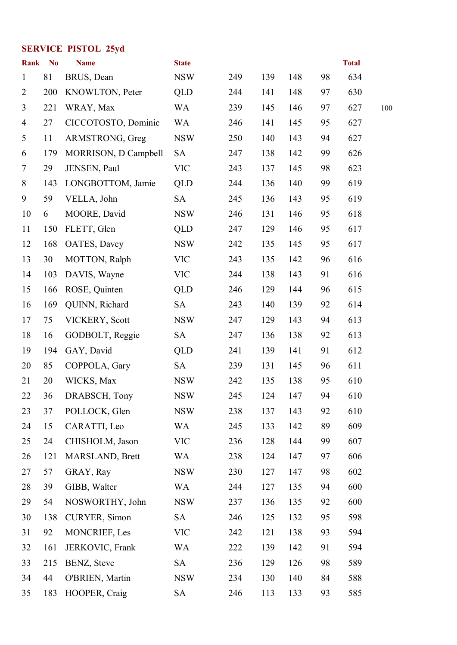## **SERVICE PISTOL 25yd**

| <b>Rank</b>    | N <sub>0</sub> | <b>Name</b>          | <b>State</b> |     |     |     |    | <b>Total</b> |     |
|----------------|----------------|----------------------|--------------|-----|-----|-----|----|--------------|-----|
| $\mathbf{1}$   | 81             | BRUS, Dean           | <b>NSW</b>   | 249 | 139 | 148 | 98 | 634          |     |
| $\overline{2}$ | 200            | KNOWLTON, Peter      | <b>QLD</b>   | 244 | 141 | 148 | 97 | 630          |     |
| 3              | 221            | WRAY, Max            | <b>WA</b>    | 239 | 145 | 146 | 97 | 627          | 100 |
| $\overline{4}$ | 27             | CICCOTOSTO, Dominic  | WA           | 246 | 141 | 145 | 95 | 627          |     |
| 5              | 11             | ARMSTRONG, Greg      | <b>NSW</b>   | 250 | 140 | 143 | 94 | 627          |     |
| 6              | 179            | MORRISON, D Campbell | <b>SA</b>    | 247 | 138 | 142 | 99 | 626          |     |
| $\tau$         | 29             | JENSEN, Paul         | <b>VIC</b>   | 243 | 137 | 145 | 98 | 623          |     |
| 8              | 143            | LONGBOTTOM, Jamie    | <b>QLD</b>   | 244 | 136 | 140 | 99 | 619          |     |
| 9              | 59             | VELLA, John          | <b>SA</b>    | 245 | 136 | 143 | 95 | 619          |     |
| 10             | 6              | MOORE, David         | <b>NSW</b>   | 246 | 131 | 146 | 95 | 618          |     |
| 11             | 150            | FLETT, Glen          | <b>QLD</b>   | 247 | 129 | 146 | 95 | 617          |     |
| 12             | 168            | OATES, Davey         | <b>NSW</b>   | 242 | 135 | 145 | 95 | 617          |     |
| 13             | 30             | MOTTON, Ralph        | <b>VIC</b>   | 243 | 135 | 142 | 96 | 616          |     |
| 14             | 103            | DAVIS, Wayne         | <b>VIC</b>   | 244 | 138 | 143 | 91 | 616          |     |
| 15             | 166            | ROSE, Quinten        | <b>QLD</b>   | 246 | 129 | 144 | 96 | 615          |     |
| 16             | 169            | QUINN, Richard       | <b>SA</b>    | 243 | 140 | 139 | 92 | 614          |     |
| 17             | 75             | VICKERY, Scott       | <b>NSW</b>   | 247 | 129 | 143 | 94 | 613          |     |
| 18             | 16             | GODBOLT, Reggie      | <b>SA</b>    | 247 | 136 | 138 | 92 | 613          |     |
| 19             | 194            | GAY, David           | <b>QLD</b>   | 241 | 139 | 141 | 91 | 612          |     |
| 20             | 85             | COPPOLA, Gary        | <b>SA</b>    | 239 | 131 | 145 | 96 | 611          |     |
| 21             | 20             | WICKS, Max           | <b>NSW</b>   | 242 | 135 | 138 | 95 | 610          |     |
| 22             | 36             | DRABSCH, Tony        | <b>NSW</b>   | 245 | 124 | 147 | 94 | 610          |     |
| 23             | 37             | POLLOCK, Glen        | <b>NSW</b>   | 238 | 137 | 143 | 92 | 610          |     |
| 24             | 15             | CARATTI, Leo         | WA           | 245 | 133 | 142 | 89 | 609          |     |
| 25             | 24             | CHISHOLM, Jason      | <b>VIC</b>   | 236 | 128 | 144 | 99 | 607          |     |
| 26             | 121            | MARSLAND, Brett      | WA           | 238 | 124 | 147 | 97 | 606          |     |
| 27             | 57             | GRAY, Ray            | <b>NSW</b>   | 230 | 127 | 147 | 98 | 602          |     |
| 28             | 39             | GIBB, Walter         | WA           | 244 | 127 | 135 | 94 | 600          |     |
| 29             | 54             | NOSWORTHY, John      | <b>NSW</b>   | 237 | 136 | 135 | 92 | 600          |     |
| 30             | 138            | CURYER, Simon        | SA           | 246 | 125 | 132 | 95 | 598          |     |
| 31             | 92             | MONCRIEF, Les        | <b>VIC</b>   | 242 | 121 | 138 | 93 | 594          |     |
| 32             | 161            | JERKOVIC, Frank      | <b>WA</b>    | 222 | 139 | 142 | 91 | 594          |     |
| 33             | 215            | BENZ, Steve          | <b>SA</b>    | 236 | 129 | 126 | 98 | 589          |     |
| 34             | 44             | O'BRIEN, Martin      | <b>NSW</b>   | 234 | 130 | 140 | 84 | 588          |     |
| 35             | 183            | HOOPER, Craig        | <b>SA</b>    | 246 | 113 | 133 | 93 | 585          |     |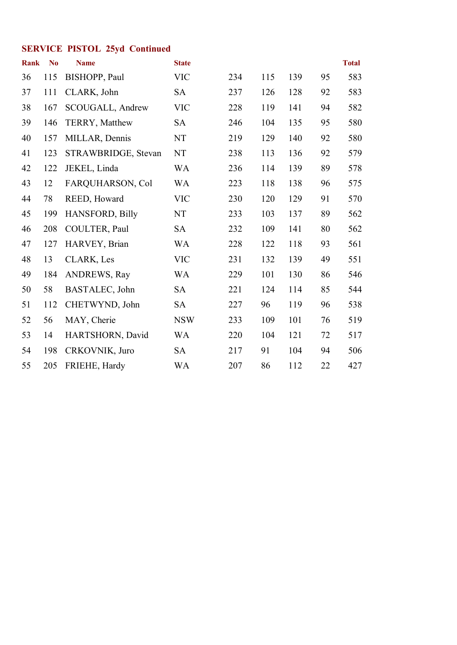## **SERVICE PISTOL 25yd Continued**

| Rank | N <sub>o</sub> | <b>Name</b>         | <b>State</b> |     |     |     |    | <b>Total</b> |
|------|----------------|---------------------|--------------|-----|-----|-----|----|--------------|
| 36   | 115            | BISHOPP, Paul       | <b>VIC</b>   | 234 | 115 | 139 | 95 | 583          |
| 37   | 111            | CLARK, John         | <b>SA</b>    | 237 | 126 | 128 | 92 | 583          |
| 38   | 167            | SCOUGALL, Andrew    | <b>VIC</b>   | 228 | 119 | 141 | 94 | 582          |
| 39   | 146            | TERRY, Matthew      | <b>SA</b>    | 246 | 104 | 135 | 95 | 580          |
| 40   | 157            | MILLAR, Dennis      | NT           | 219 | 129 | 140 | 92 | 580          |
| 41   | 123            | STRAWBRIDGE, Stevan | <b>NT</b>    | 238 | 113 | 136 | 92 | 579          |
| 42   | 122            | JEKEL, Linda        | <b>WA</b>    | 236 | 114 | 139 | 89 | 578          |
| 43   | 12             | FARQUHARSON, Col    | <b>WA</b>    | 223 | 118 | 138 | 96 | 575          |
| 44   | 78             | REED, Howard        | <b>VIC</b>   | 230 | 120 | 129 | 91 | 570          |
| 45   | 199            | HANSFORD, Billy     | NT           | 233 | 103 | 137 | 89 | 562          |
| 46   | 208            | COULTER, Paul       | <b>SA</b>    | 232 | 109 | 141 | 80 | 562          |
| 47   | 127            | HARVEY, Brian       | <b>WA</b>    | 228 | 122 | 118 | 93 | 561          |
| 48   | 13             | <b>CLARK, Les</b>   | <b>VIC</b>   | 231 | 132 | 139 | 49 | 551          |
| 49   | 184            | ANDREWS, Ray        | <b>WA</b>    | 229 | 101 | 130 | 86 | 546          |
| 50   | 58             | BASTALEC, John      | <b>SA</b>    | 221 | 124 | 114 | 85 | 544          |
| 51   | 112            | CHETWYND, John      | <b>SA</b>    | 227 | 96  | 119 | 96 | 538          |
| 52   | 56             | MAY, Cherie         | <b>NSW</b>   | 233 | 109 | 101 | 76 | 519          |
| 53   | 14             | HARTSHORN, David    | <b>WA</b>    | 220 | 104 | 121 | 72 | 517          |
| 54   | 198            | CRKOVNIK, Juro      | <b>SA</b>    | 217 | 91  | 104 | 94 | 506          |
| 55   | 205            | FRIEHE, Hardy       | <b>WA</b>    | 207 | 86  | 112 | 22 | 427          |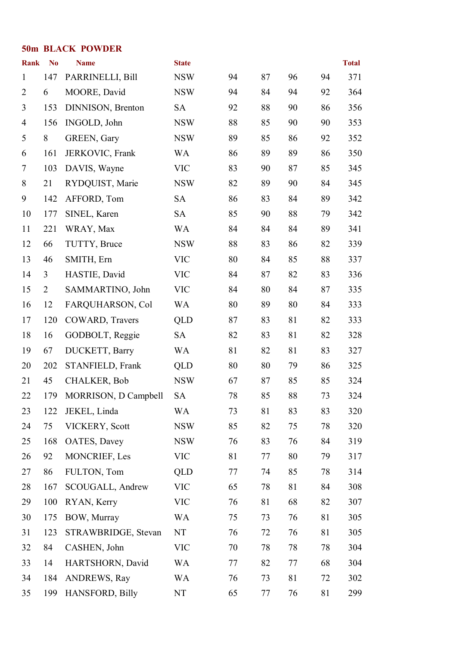#### **50m BLACK POWDER**

| <b>Rank</b>    | N <sub>0</sub> | <b>Name</b>          | <b>State</b> |    |    |    |    | <b>Total</b> |
|----------------|----------------|----------------------|--------------|----|----|----|----|--------------|
| $\mathbf{1}$   | 147            | PARRINELLI, Bill     | <b>NSW</b>   | 94 | 87 | 96 | 94 | 371          |
| $\overline{2}$ | 6              | MOORE, David         | <b>NSW</b>   | 94 | 84 | 94 | 92 | 364          |
| 3              | 153            | DINNISON, Brenton    | <b>SA</b>    | 92 | 88 | 90 | 86 | 356          |
| 4              | 156            | INGOLD, John         | <b>NSW</b>   | 88 | 85 | 90 | 90 | 353          |
| 5              | 8              | GREEN, Gary          | <b>NSW</b>   | 89 | 85 | 86 | 92 | 352          |
| 6              | 161            | JERKOVIC, Frank      | <b>WA</b>    | 86 | 89 | 89 | 86 | 350          |
| $\tau$         | 103            | DAVIS, Wayne         | <b>VIC</b>   | 83 | 90 | 87 | 85 | 345          |
| $8\,$          | 21             | RYDQUIST, Marie      | <b>NSW</b>   | 82 | 89 | 90 | 84 | 345          |
| 9              | 142            | AFFORD, Tom          | <b>SA</b>    | 86 | 83 | 84 | 89 | 342          |
| 10             | 177            | SINEL, Karen         | <b>SA</b>    | 85 | 90 | 88 | 79 | 342          |
| 11             | 221            | WRAY, Max            | <b>WA</b>    | 84 | 84 | 84 | 89 | 341          |
| 12             | 66             | TUTTY, Bruce         | <b>NSW</b>   | 88 | 83 | 86 | 82 | 339          |
| 13             | 46             | SMITH, Ern           | <b>VIC</b>   | 80 | 84 | 85 | 88 | 337          |
| 14             | 3              | HASTIE, David        | <b>VIC</b>   | 84 | 87 | 82 | 83 | 336          |
| 15             | $\overline{2}$ | SAMMARTINO, John     | <b>VIC</b>   | 84 | 80 | 84 | 87 | 335          |
| 16             | 12             | FARQUHARSON, Col     | <b>WA</b>    | 80 | 89 | 80 | 84 | 333          |
| 17             | 120            | COWARD, Travers      | <b>QLD</b>   | 87 | 83 | 81 | 82 | 333          |
| 18             | 16             | GODBOLT, Reggie      | <b>SA</b>    | 82 | 83 | 81 | 82 | 328          |
| 19             | 67             | DUCKETT, Barry       | <b>WA</b>    | 81 | 82 | 81 | 83 | 327          |
| 20             | 202            | STANFIELD, Frank     | <b>QLD</b>   | 80 | 80 | 79 | 86 | 325          |
| 21             | 45             | <b>CHALKER, Bob</b>  | <b>NSW</b>   | 67 | 87 | 85 | 85 | 324          |
| 22             | 179            | MORRISON, D Campbell | <b>SA</b>    | 78 | 85 | 88 | 73 | 324          |
| 23             | 122            | JEKEL, Linda         | <b>WA</b>    | 73 | 81 | 83 | 83 | 320          |
| 24             | 75             | VICKERY, Scott       | <b>NSW</b>   | 85 | 82 | 75 | 78 | 320          |
| 25             | 168            | OATES, Davey         | <b>NSW</b>   | 76 | 83 | 76 | 84 | 319          |
| 26             | 92             | MONCRIEF, Les        | <b>VIC</b>   | 81 | 77 | 80 | 79 | 317          |
| 27             | 86             | FULTON, Tom          | <b>QLD</b>   | 77 | 74 | 85 | 78 | 314          |
| 28             | 167            | SCOUGALL, Andrew     | <b>VIC</b>   | 65 | 78 | 81 | 84 | 308          |
| 29             | 100            | RYAN, Kerry          | <b>VIC</b>   | 76 | 81 | 68 | 82 | 307          |
| 30             | 175            | BOW, Murray          | <b>WA</b>    | 75 | 73 | 76 | 81 | 305          |
| 31             | 123            | STRAWBRIDGE, Stevan  | NT           | 76 | 72 | 76 | 81 | 305          |
| 32             | 84             | CASHEN, John         | <b>VIC</b>   | 70 | 78 | 78 | 78 | 304          |
| 33             | 14             | HARTSHORN, David     | <b>WA</b>    | 77 | 82 | 77 | 68 | 304          |
| 34             | 184            | <b>ANDREWS, Ray</b>  | <b>WA</b>    | 76 | 73 | 81 | 72 | 302          |
| 35             | 199            | HANSFORD, Billy      | NT           | 65 | 77 | 76 | 81 | 299          |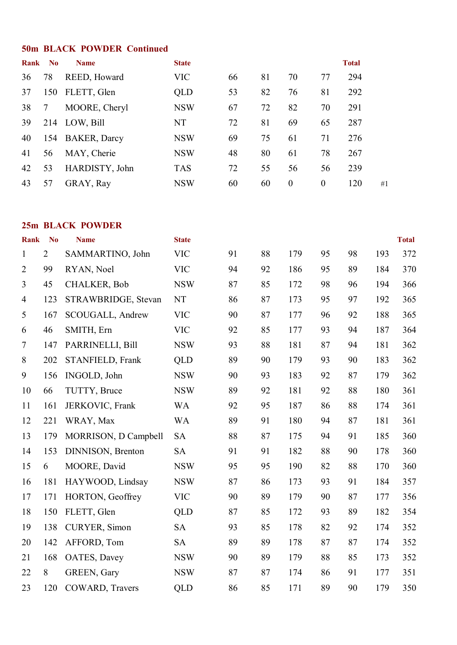#### **50m BLACK POWDER Continued**

| Rank | $\mathbf{N}\mathbf{o}$ | <b>Name</b>         | <b>State</b> |    |    |                  |          | <b>Total</b> |    |
|------|------------------------|---------------------|--------------|----|----|------------------|----------|--------------|----|
| 36   | 78                     | REED, Howard        | <b>VIC</b>   | 66 | 81 | 70               | 77       | 294          |    |
| 37   | 150                    | FLETT, Glen         | QLD          | 53 | 82 | 76               | 81       | 292          |    |
| 38   |                        | MOORE, Cheryl       | <b>NSW</b>   | 67 | 72 | 82               | 70       | 291          |    |
| 39   |                        | 214 LOW, Bill       | NT           | 72 | 81 | 69               | 65       | 287          |    |
| 40   | 154                    | <b>BAKER, Darcy</b> | <b>NSW</b>   | 69 | 75 | 61               | 71       | 276          |    |
| 41   | 56                     | MAY, Cherie         | <b>NSW</b>   | 48 | 80 | 61               | 78       | 267          |    |
| 42   | 53                     | HARDISTY, John      | <b>TAS</b>   | 72 | 55 | 56               | 56       | 239          |    |
| 43   | 57                     | GRAY, Ray           | <b>NSW</b>   | 60 | 60 | $\boldsymbol{0}$ | $\theta$ | 120          | #1 |

#### **25m BLACK POWDER**

| <b>Rank</b>    | N <sub>o</sub> | <b>Name</b>            | <b>State</b> |    |    |     |    |    |     | <b>Total</b> |
|----------------|----------------|------------------------|--------------|----|----|-----|----|----|-----|--------------|
| $\mathbf{1}$   | $\overline{2}$ | SAMMARTINO, John       | <b>VIC</b>   | 91 | 88 | 179 | 95 | 98 | 193 | 372          |
| $\overline{2}$ | 99             | RYAN, Noel             | <b>VIC</b>   | 94 | 92 | 186 | 95 | 89 | 184 | 370          |
| 3              | 45             | <b>CHALKER, Bob</b>    | <b>NSW</b>   | 87 | 85 | 172 | 98 | 96 | 194 | 366          |
| 4              | 123            | STRAWBRIDGE, Stevan    | NT           | 86 | 87 | 173 | 95 | 97 | 192 | 365          |
| 5              | 167            | SCOUGALL, Andrew       | <b>VIC</b>   | 90 | 87 | 177 | 96 | 92 | 188 | 365          |
| 6              | 46             | SMITH, Ern             | <b>VIC</b>   | 92 | 85 | 177 | 93 | 94 | 187 | 364          |
| 7              | 147            | PARRINELLI, Bill       | <b>NSW</b>   | 93 | 88 | 181 | 87 | 94 | 181 | 362          |
| 8              | 202            | STANFIELD, Frank       | <b>QLD</b>   | 89 | 90 | 179 | 93 | 90 | 183 | 362          |
| 9              | 156            | INGOLD, John           | <b>NSW</b>   | 90 | 93 | 183 | 92 | 87 | 179 | 362          |
| 10             | 66             | TUTTY, Bruce           | <b>NSW</b>   | 89 | 92 | 181 | 92 | 88 | 180 | 361          |
| 11             | 161            | JERKOVIC, Frank        | <b>WA</b>    | 92 | 95 | 187 | 86 | 88 | 174 | 361          |
| 12             | 221            | WRAY, Max              | <b>WA</b>    | 89 | 91 | 180 | 94 | 87 | 181 | 361          |
| 13             | 179            | MORRISON, D Campbell   | <b>SA</b>    | 88 | 87 | 175 | 94 | 91 | 185 | 360          |
| 14             | 153            | DINNISON, Brenton      | <b>SA</b>    | 91 | 91 | 182 | 88 | 90 | 178 | 360          |
| 15             | 6              | MOORE, David           | <b>NSW</b>   | 95 | 95 | 190 | 82 | 88 | 170 | 360          |
| 16             | 181            | HAYWOOD, Lindsay       | <b>NSW</b>   | 87 | 86 | 173 | 93 | 91 | 184 | 357          |
| 17             | 171            | HORTON, Geoffrey       | <b>VIC</b>   | 90 | 89 | 179 | 90 | 87 | 177 | 356          |
| 18             | 150            | FLETT, Glen            | <b>QLD</b>   | 87 | 85 | 172 | 93 | 89 | 182 | 354          |
| 19             | 138            | CURYER, Simon          | <b>SA</b>    | 93 | 85 | 178 | 82 | 92 | 174 | 352          |
| 20             | 142            | AFFORD, Tom            | <b>SA</b>    | 89 | 89 | 178 | 87 | 87 | 174 | 352          |
| 21             | 168            | OATES, Davey           | <b>NSW</b>   | 90 | 89 | 179 | 88 | 85 | 173 | 352          |
| 22             | 8              | GREEN, Gary            | <b>NSW</b>   | 87 | 87 | 174 | 86 | 91 | 177 | 351          |
| 23             | 120            | <b>COWARD, Travers</b> | <b>QLD</b>   | 86 | 85 | 171 | 89 | 90 | 179 | 350          |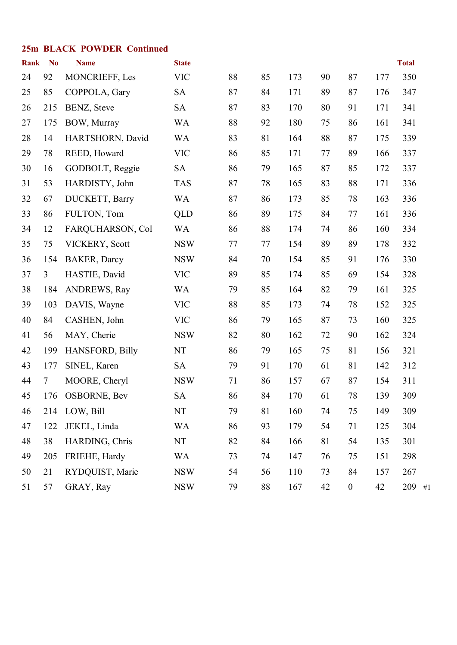#### **25m BLACK POWDER Continued**

| <b>Rank</b> | N <sub>o</sub> | <b>Name</b>          | <b>State</b> |    |    |     |    |                  |     | <b>Total</b> |
|-------------|----------------|----------------------|--------------|----|----|-----|----|------------------|-----|--------------|
| 24          | 92             | MONCRIEFF, Les       | <b>VIC</b>   | 88 | 85 | 173 | 90 | 87               | 177 | 350          |
| 25          | 85             | COPPOLA, Gary        | <b>SA</b>    | 87 | 84 | 171 | 89 | 87               | 176 | 347          |
| 26          | 215            | BENZ, Steve          | <b>SA</b>    | 87 | 83 | 170 | 80 | 91               | 171 | 341          |
| 27          | 175            | BOW, Murray          | <b>WA</b>    | 88 | 92 | 180 | 75 | 86               | 161 | 341          |
| 28          | 14             | HARTSHORN, David     | <b>WA</b>    | 83 | 81 | 164 | 88 | 87               | 175 | 339          |
| 29          | 78             | REED, Howard         | <b>VIC</b>   | 86 | 85 | 171 | 77 | 89               | 166 | 337          |
| 30          | 16             | GODBOLT, Reggie      | <b>SA</b>    | 86 | 79 | 165 | 87 | 85               | 172 | 337          |
| 31          | 53             | HARDISTY, John       | <b>TAS</b>   | 87 | 78 | 165 | 83 | 88               | 171 | 336          |
| 32          | 67             | DUCKETT, Barry       | <b>WA</b>    | 87 | 86 | 173 | 85 | 78               | 163 | 336          |
| 33          | 86             | FULTON, Tom          | <b>QLD</b>   | 86 | 89 | 175 | 84 | 77               | 161 | 336          |
| 34          | 12             | FARQUHARSON, Col     | <b>WA</b>    | 86 | 88 | 174 | 74 | 86               | 160 | 334          |
| 35          | 75             | VICKERY, Scott       | <b>NSW</b>   | 77 | 77 | 154 | 89 | 89               | 178 | 332          |
| 36          | 154            | <b>BAKER</b> , Darcy | <b>NSW</b>   | 84 | 70 | 154 | 85 | 91               | 176 | 330          |
| 37          | $\overline{3}$ | HASTIE, David        | <b>VIC</b>   | 89 | 85 | 174 | 85 | 69               | 154 | 328          |
| 38          | 184            | <b>ANDREWS, Ray</b>  | <b>WA</b>    | 79 | 85 | 164 | 82 | 79               | 161 | 325          |
| 39          | 103            | DAVIS, Wayne         | <b>VIC</b>   | 88 | 85 | 173 | 74 | 78               | 152 | 325          |
| 40          | 84             | CASHEN, John         | <b>VIC</b>   | 86 | 79 | 165 | 87 | 73               | 160 | 325          |
| 41          | 56             | MAY, Cherie          | <b>NSW</b>   | 82 | 80 | 162 | 72 | 90               | 162 | 324          |
| 42          | 199            | HANSFORD, Billy      | NT           | 86 | 79 | 165 | 75 | 81               | 156 | 321          |
| 43          | 177            | SINEL, Karen         | <b>SA</b>    | 79 | 91 | 170 | 61 | 81               | 142 | 312          |
| 44          | $\tau$         | MOORE, Cheryl        | <b>NSW</b>   | 71 | 86 | 157 | 67 | 87               | 154 | 311          |
| 45          | 176            | <b>OSBORNE, Bev</b>  | <b>SA</b>    | 86 | 84 | 170 | 61 | 78               | 139 | 309          |
| 46          | 214            | LOW, Bill            | NT           | 79 | 81 | 160 | 74 | 75               | 149 | 309          |
| 47          | 122            | JEKEL, Linda         | <b>WA</b>    | 86 | 93 | 179 | 54 | 71               | 125 | 304          |
| 48          | 38             | HARDING, Chris       | NT           | 82 | 84 | 166 | 81 | 54               | 135 | 301          |
| 49          | 205            | FRIEHE, Hardy        | <b>WA</b>    | 73 | 74 | 147 | 76 | 75               | 151 | 298          |
| 50          | 21             | RYDQUIST, Marie      | <b>NSW</b>   | 54 | 56 | 110 | 73 | 84               | 157 | 267          |
| 51          | 57             | GRAY, Ray            | <b>NSW</b>   | 79 | 88 | 167 | 42 | $\boldsymbol{0}$ | 42  | 209 #1       |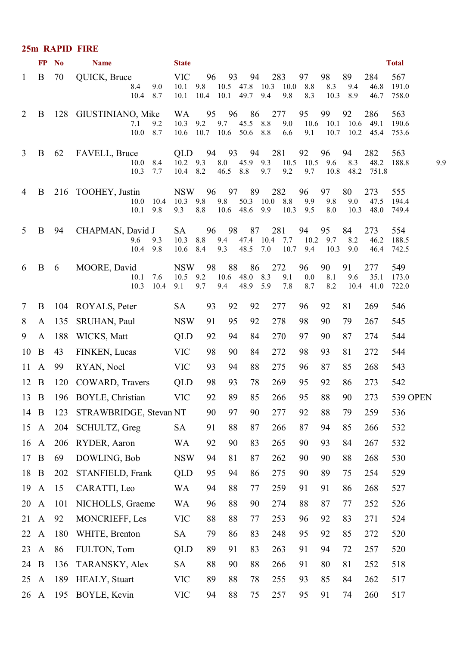#### **25m RAPID FIRE**

|                | <b>FP</b>        | $\mathbf{N}$ | <b>Name</b>                                          | <b>State</b>                                          |            |                            |                |                                       |                         |                           |                   |                          | <b>Total</b>          |  |
|----------------|------------------|--------------|------------------------------------------------------|-------------------------------------------------------|------------|----------------------------|----------------|---------------------------------------|-------------------------|---------------------------|-------------------|--------------------------|-----------------------|--|
| $\mathbf{1}$   | B                | 70           | QUICK, Bruce<br>8.4<br>9.0<br>10.4 8.7               | <b>VIC</b><br>10.1<br>9.8<br>10.1                     | 96         | 93<br>10.4 10.1 49.7 9.4   | 94             | 283<br>10.5 47.8 10.3 10.0 8.8<br>9.8 | 97<br>8.3               | 98<br>8.3<br>10.3         | 89<br>9.4<br>8.9  | 284<br>46.8<br>46.7      | 567<br>191.0<br>758.0 |  |
| 2              | B                |              | 128 GIUSTINIANO, Mike<br>9.2<br>7.1<br>$10.0 \t 8.7$ | WA<br>$10.3$ 9.2<br>10.6 10.7 10.6 50.6 8.8           |            | 95 96<br>9.7 45.5 8.8      | 86             | 277<br>9.0<br>6.6                     | 95<br>9.1               | 99<br>10.6 10.1 10.6 49.1 | 92                | 286<br>10.7 10.2 45.4    | 563<br>190.6<br>753.6 |  |
| 3              | B                | 62           | FAVELL, Bruce<br>$10.0 \quad 8.4$<br>10.3<br>7.7     | QLD 94 93 94<br>$10.2$ 9.3 8.0 45.9 9.3<br>$10.4$ 8.2 |            | 46.5 8.8                   | 9.7            | 281<br>10.5 10.5 9.6<br>9.2           | 92<br>9.7               | 96<br>10.8                | 94<br>8.3<br>48.2 | 282<br>48.2<br>751.8     | 563<br>188.8<br>9.9   |  |
| 4              | B                |              | 216 TOOHEY, Justin<br>$10.0$ 10.4<br>10.1<br>9.8     | NSW 96 97 89<br>$10.3$ 9.8<br>8.8<br>9.3              | 9.8        | 10.6 48.6 9.9              |                | 282<br>50.3 10.0 8.8                  | 96<br>9.9<br>$10.3$ 9.5 | 97<br>9.8<br>8.0          | 80<br>9.0<br>10.3 | 273<br>47.5<br>48.0      | 555<br>194.4<br>749.4 |  |
| 5              | B                | 94           | CHAPMAN, David J<br>9.3<br>9.6<br>10.4 9.8           | <b>SA</b><br>10.3<br>8.4<br>10.6                      | 8.8<br>9.3 | 96 98 87<br>9.4            | 48.5 7.0       | 281<br>47.4 10.4 7.7                  | 94<br>10.7 9.4          | 95<br>$10.2$ 9.7<br>10.3  | 84<br>8.2<br>9.0  | 273<br>46.2<br>46.4      | 554<br>188.5<br>742.5 |  |
| 6              | B                | 6            | MOORE, David<br>7.6<br>10.1<br>10.3<br>10.4          | NSW 98<br>$10.5$ 9.2<br>9.7<br>9.1                    |            | 88<br>10.6 48.0 8.3<br>9.4 | 86<br>48.9 5.9 | 272<br>9.1<br>7.8                     | 96<br>0.0<br>8.7        | 90<br>8.1<br>8.2          | 91<br>9.6         | 277<br>35.1<br>10.4 41.0 | 549<br>173.0<br>722.0 |  |
| $\tau$         | B                |              | 104 ROYALS, Peter                                    | <b>SA</b>                                             | 93         | 92                         | 92             | 277                                   | 96                      | 92                        | 81                | 269                      | 546                   |  |
| 8              | A                | 135          | SRUHAN, Paul                                         | <b>NSW</b>                                            | 91         | 95                         | 92             | 278                                   | 98                      | 90                        | 79                | 267                      | 545                   |  |
| 9              | A                | 188          | WICKS, Matt                                          | <b>QLD</b>                                            | 92         | 94                         | 84             | 270                                   | 97                      | 90                        | 87                | 274                      | 544                   |  |
| 10             | $\mathbf{B}$     | 43           | FINKEN, Lucas                                        | <b>VIC</b>                                            | 98         | 90                         | 84             | 272                                   | 98                      | 93                        | 81                | 272                      | 544                   |  |
| $11 \text{ A}$ |                  | 99           | RYAN, Noel                                           | <b>VIC</b>                                            | 93         | 94                         | 88             | 275                                   | 96                      | 87                        | 85                | 268                      | 543                   |  |
| $12 \quad B$   |                  | 120          | COWARD, Travers                                      | <b>QLD</b>                                            | 98         | 93                         | 78             | 269                                   | 95                      | 92                        | 86                | 273                      | 542                   |  |
| $13 \quad B$   |                  |              | 196 BOYLE, Christian                                 | <b>VIC</b>                                            | 92         | 89                         | 85             | 266                                   | 95                      | 88                        | 90                | 273                      | <b>539 OPEN</b>       |  |
| 14             | B                | 123          | STRAWBRIDGE, Stevan NT                               |                                                       | 90         | 97                         | 90             | 277                                   | 92                      | 88                        | 79                | 259                      | 536                   |  |
| 15             | $\mathbf{A}$     | 204          | SCHULTZ, Greg                                        | SA                                                    | 91         | 88                         | 87             | 266                                   | 87                      | 94                        | 85                | 266                      | 532                   |  |
| 16             | $\mathbf{A}$     | 206          | RYDER, Aaron                                         | WA                                                    | 92         | 90                         | 83             | 265                                   | 90                      | 93                        | 84                | 267                      | 532                   |  |
| 17             | $\boldsymbol{B}$ | 69           | DOWLING, Bob                                         | <b>NSW</b>                                            | 94         | 81                         | 87             | 262                                   | 90                      | 90                        | 88                | 268                      | 530                   |  |
| 18             | $\bf{B}$         | 202          | STANFIELD, Frank                                     | <b>QLD</b>                                            | 95         | 94                         | 86             | 275                                   | 90                      | 89                        | 75                | 254                      | 529                   |  |
| 19             | $\mathbf{A}$     | 15           | CARATTI, Leo                                         | <b>WA</b>                                             | 94         | 88                         | 77             | 259                                   | 91                      | 91                        | 86                | 268                      | 527                   |  |
| 20             | $\mathbf{A}$     | 101          | NICHOLLS, Graeme                                     | WA                                                    | 96         | 88                         | 90             | 274                                   | 88                      | 87                        | 77                | 252                      | 526                   |  |
| 21             | $\mathbf{A}$     | 92           | MONCRIEFF, Les                                       | <b>VIC</b>                                            | 88         | 88                         | 77             | 253                                   | 96                      | 92                        | 83                | 271                      | 524                   |  |
| 22             | $\mathbf{A}$     | 180          | WHITE, Brenton                                       | <b>SA</b>                                             | 79         | 86                         | 83             | 248                                   | 95                      | 92                        | 85                | 272                      | 520                   |  |
| 23             | $\mathbf{A}$     | 86           | FULTON, Tom                                          | <b>QLD</b>                                            | 89         | 91                         | 83             | 263                                   | 91                      | 94                        | 72                | 257                      | 520                   |  |
| 24             | B                | 136          | TARANSKY, Alex                                       | <b>SA</b>                                             | 88         | 90                         | 88             | 266                                   | 91                      | 80                        | 81                | 252                      | 518                   |  |
| 25             | $\mathbf{A}$     | 189          | HEALY, Stuart                                        | <b>VIC</b>                                            | 89         | 88                         | 78             | 255                                   | 93                      | 85                        | 84                | 262                      | 517                   |  |
| 26             | $\mathbf{A}$     | 195          | BOYLE, Kevin                                         | <b>VIC</b>                                            | 94         | 88                         | 75             | 257                                   | 95                      | 91                        | 74                | 260                      | 517                   |  |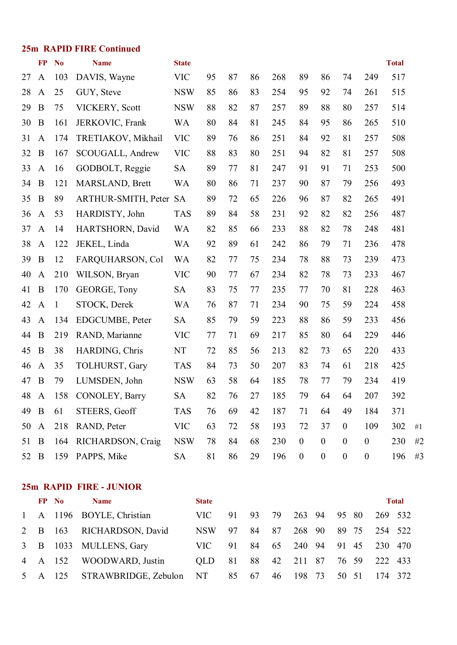|      | <b>25m RAPID FIRE Continued</b> |                |                            |                              |    |    |    |     |                  |                  |                  |                  |     |       |
|------|---------------------------------|----------------|----------------------------|------------------------------|----|----|----|-----|------------------|------------------|------------------|------------------|-----|-------|
|      | FP                              | N <sub>0</sub> | <b>Name</b>                | <b>Total</b><br><b>State</b> |    |    |    |     |                  |                  |                  |                  |     |       |
| 27   | $\mathbf{A}$                    | 103            | DAVIS, Wayne               | <b>VIC</b>                   | 95 | 87 | 86 | 268 | 89               | 86               | 74               | 249              | 517 |       |
| 28   | $\mathbf{A}$                    | 25             | GUY, Steve                 | <b>NSW</b>                   | 85 | 86 | 83 | 254 | 95               | 92               | 74               | 261              | 515 |       |
| 29   | $\boldsymbol{B}$                | 75             | VICKERY, Scott             | <b>NSW</b>                   | 88 | 82 | 87 | 257 | 89               | 88               | 80               | 257              | 514 |       |
| 30   | $\bf{B}$                        | 161            | JERKOVIC, Frank            | <b>WA</b>                    | 80 | 84 | 81 | 245 | 84               | 95               | 86               | 265              | 510 |       |
| 31   | $\mathbf{A}$                    | 174            | TRETIAKOV, Mikhail         | <b>VIC</b>                   | 89 | 76 | 86 | 251 | 84               | 92               | 81               | 257              | 508 |       |
| 32   | B                               | 167            | SCOUGALL, Andrew           | <b>VIC</b>                   | 88 | 83 | 80 | 251 | 94               | 82               | 81               | 257              | 508 |       |
| 33   | $\mathbf{A}$                    | 16             | GODBOLT, Reggie            | <b>SA</b>                    | 89 | 77 | 81 | 247 | 91               | 91               | 71               | 253              | 500 |       |
| 34   | $\bf{B}$                        | 121            | MARSLAND, Brett            | <b>WA</b>                    | 80 | 86 | 71 | 237 | 90               | 87               | 79               | 256              | 493 |       |
| 35   | B                               | 89             | <b>ARTHUR-SMITH, Peter</b> | <b>SA</b>                    | 89 | 72 | 65 | 226 | 96               | 87               | 82               | 265              | 491 |       |
| 36   | $\mathbf{A}$                    | 53             | HARDISTY, John             | <b>TAS</b>                   | 89 | 84 | 58 | 231 | 92               | 82               | 82               | 256              | 487 |       |
| 37   | $\mathbf{A}$                    | 14             | HARTSHORN, David           | <b>WA</b>                    | 82 | 85 | 66 | 233 | 88               | 82               | 78               | 248              | 481 |       |
| 38   | $\mathbf{A}$                    | 122            | JEKEL, Linda               | <b>WA</b>                    | 92 | 89 | 61 | 242 | 86               | 79               | 71               | 236              | 478 |       |
| 39   | $\, {\bf B}$                    | 12             | FARQUHARSON, Col           | <b>WA</b>                    | 82 | 77 | 75 | 234 | 78               | 88               | 73               | 239              | 473 |       |
| 40   | $\mathbf{A}$                    | 210            | WILSON, Bryan              | <b>VIC</b>                   | 90 | 77 | 67 | 234 | 82               | 78               | 73               | 233              | 467 |       |
| 41   | B                               | 170            | GEORGE, Tony               | <b>SA</b>                    | 83 | 75 | 77 | 235 | 77               | 70               | 81               | 228              | 463 |       |
| 42   | $\mathbf{A}$                    | $\mathbf{1}$   | STOCK, Derek               | <b>WA</b>                    | 76 | 87 | 71 | 234 | 90               | 75               | 59               | 224              | 458 |       |
| 43   | $\mathbf{A}$                    | 134            | EDGCUMBE, Peter            | <b>SA</b>                    | 85 | 79 | 59 | 223 | 88               | 86               | 59               | 233              | 456 |       |
| 44   | B                               | 219            | RAND, Marianne             | <b>VIC</b>                   | 77 | 71 | 69 | 217 | 85               | 80               | 64               | 229              | 446 |       |
| 45   | B                               | 38             | HARDING, Chris             | NT                           | 72 | 85 | 56 | 213 | 82               | 73               | 65               | 220              | 433 |       |
| 46   | $\mathbf{A}$                    | 35             | TOLHURST, Gary             | <b>TAS</b>                   | 84 | 73 | 50 | 207 | 83               | 74               | 61               | 218              | 425 |       |
| 47   | $\bf{B}$                        | 79             | LUMSDEN, John              | <b>NSW</b>                   | 63 | 58 | 64 | 185 | 78               | 77               | 79               | 234              | 419 |       |
| 48   | A                               |                | 158 CONOLEY, Barry         | <b>SA</b>                    | 82 | 76 | 27 | 185 | 79               | 64               | 64               | 207              | 392 |       |
| 49   | B                               | 61             | STEERS, Geoff              | <b>TAS</b>                   | 76 | 69 | 42 | 187 | 71               | 64               | 49               | 184              | 371 |       |
| 50   | $\mathbf{A}$                    | 218            | RAND, Peter                | <b>VIC</b>                   | 63 | 72 | 58 | 193 | 72               | 37               | $\boldsymbol{0}$ | 109              | 302 | $\#1$ |
| 51   | B                               | 164            | RICHARDSON, Craig          | <b>NSW</b>                   | 78 | 84 | 68 | 230 | $\boldsymbol{0}$ | $\boldsymbol{0}$ | $\boldsymbol{0}$ | $\boldsymbol{0}$ | 230 | #2    |
| 52 B |                                 | 159            | PAPPS, Mike                | <b>SA</b>                    | 81 | 86 | 29 | 196 | $\boldsymbol{0}$ | $\boldsymbol{0}$ | $\boldsymbol{0}$ | $\boldsymbol{0}$ | 196 | #3    |

#### **25m RAPID FIRE JUNIOR**

|  | FP No   | <b>Name</b>                     | <b>State</b> |    |    |    |              | <b>Total</b> |                      |  |
|--|---------|---------------------------------|--------------|----|----|----|--------------|--------------|----------------------|--|
|  |         | 1 A 1196 BOYLE, Christian       | VIC-         | 91 | 93 | 79 | 263 94 95 80 |              | 269 532              |  |
|  |         | 2 B 163 RICHARDSON, David       | NSW          | 97 | 84 | 87 | 268 90       | 89 75        | 254 522              |  |
|  |         | 3 B 1033 MULLENS, Gary          | VIC-         | 91 | 84 | 65 |              |              | 240 94 91 45 230 470 |  |
|  | 4 A 152 | WOODWARD, Justin                | OLD.         | 81 | 88 | 42 | 211 87 76 59 |              | 222 433              |  |
|  |         | 5 A 125 STRAWBRIDGE, Zebulon NT |              | 85 | 67 | 46 | 198 73       | 50 51        | 174 372              |  |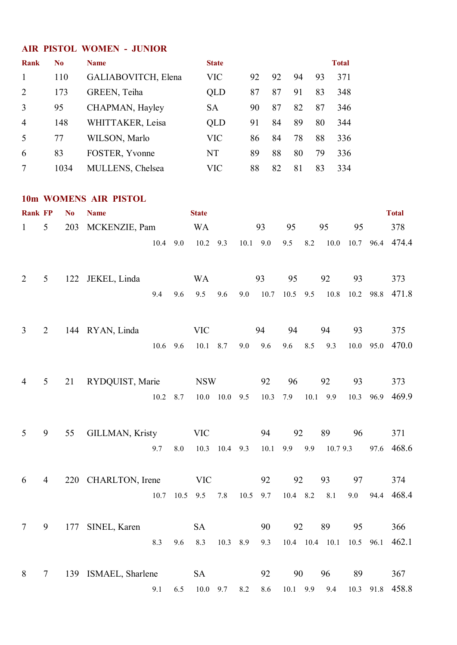#### **AIR PISTOL WOMEN JUNIOR**

| Rank           | No   | <b>Name</b>             | <b>State</b> |    |    |    |    | <b>Total</b> |
|----------------|------|-------------------------|--------------|----|----|----|----|--------------|
| $\mathbf{1}$   | 110  | GALIABOVITCH, Elena     | <b>VIC</b>   | 92 | 92 | 94 | 93 | 371          |
| 2              | 173  | GREEN, Teiha            | QLD          | 87 | 87 | 91 | 83 | 348          |
| 3              | 95   | CHAPMAN, Hayley         | <b>SA</b>    | 90 | 87 | 82 | 87 | 346          |
| $\overline{4}$ | 148  | WHITTAKER, Leisa        | QLD          | 91 | 84 | 89 | 80 | 344          |
| 5              | 77   | WILSON, Marlo           | <b>VIC</b>   | 86 | 84 | 78 | 88 | 336          |
| 6              | 83   | FOSTER, Yvonne          | <b>NT</b>    | 89 | 88 | 80 | 79 | 336          |
| 7              | 1034 | <b>MULLENS, Chelsea</b> | <b>VIC</b>   | 88 | 82 | 81 | 83 | 334          |

#### **10m WOMENS AIR PISTOL**

| <b>Rank FP</b>  |                | N <sub>o</sub> | <b>Name</b>            |      |           | <b>State</b> |                     |            |      |            |     |                  |      |      | <b>Total</b> |
|-----------------|----------------|----------------|------------------------|------|-----------|--------------|---------------------|------------|------|------------|-----|------------------|------|------|--------------|
| $\mathbf{1}$    | 5              | 203            | MCKENZIE, Pam          |      |           | <b>WA</b>    |                     |            | 93   | 95         |     | 95               | 95   |      | 378          |
|                 |                |                |                        | 10.4 | 9.0       | 10.2         | 9.3                 | $10.1$ 9.0 |      | 9.5        | 8.2 | $10.0\,$         | 10.7 |      | 96.4 474.4   |
| $\overline{2}$  | 5              |                | 122 JEKEL, Linda       |      |           | <b>WA</b>    |                     |            | 93   | 95         |     | 92               | 93   |      | 373          |
|                 |                |                |                        | 9.4  | 9.6       | 9.5          | 9.6                 | 9.0        | 10.7 | $10.5$ 9.5 |     | 10.8             | 10.2 | 98.8 | 471.8        |
| $\overline{3}$  | 2              |                | 144 RYAN, Linda        |      |           | <b>VIC</b>   |                     |            | 94   | 94         |     | 94               | 93   |      | 375          |
|                 |                |                |                        | 10.6 | 9.6       | 10.1         | 8.7                 | 9.0        | 9.6  | 9.6        | 8.5 | 9.3              | 10.0 | 95.0 | 470.0        |
| $\overline{4}$  | 5              | 21             | RYDQUIST, Marie        |      |           | <b>NSW</b>   |                     |            | 92   | 96         |     | 92               | 93   |      | 373          |
|                 |                |                |                        | 10.2 | 8.7       |              | $10.0$ $10.0$ $9.5$ |            | 10.3 | 7.9        |     | $10.1$ 9.9       | 10.3 | 96.9 | 469.9        |
| 5               | 9              | 55             | <b>GILLMAN, Kristy</b> |      |           | <b>VIC</b>   |                     |            | 94   | 92         |     | 89               | 96   |      | 371          |
|                 |                |                |                        | 9.7  | $8.0\,$   | 10.3         | $10.4$ 9.3          |            | 10.1 | 9.9        | 9.9 | 10.7 9.3         |      | 97.6 | 468.6        |
| 6               | $\overline{4}$ |                | 220 CHARLTON, Irene    |      |           | <b>VIC</b>   |                     |            | 92   | 92         |     | 93               | 97   |      | 374          |
|                 |                |                |                        |      | 10.7 10.5 | 9.5          | 7.8                 | 10.5       | 9.7  | 10.4 8.2   |     | 8.1              | 9.0  | 94.4 | 468.4        |
| $7\phantom{.0}$ | 9              | 177            | SINEL, Karen           |      |           | <b>SA</b>    |                     |            | 90   | 92         |     | 89               | 95   |      | 366          |
|                 |                |                |                        | 8.3  | 9.6       | 8.3          | 10.3 8.9            |            | 9.3  |            |     | $10.4$ 10.4 10.1 | 10.5 | 96.1 | 462.1        |
| 8               | 7              |                | 139 ISMAEL, Sharlene   |      |           | <b>SA</b>    |                     |            | 92   | 90         |     | 96               | 89   |      | 367          |
|                 |                |                |                        | 9.1  | 6.5       | 10.0         | 9.7                 | 8.2        | 8.6  | 10.1 9.9   |     | 9.4              | 10.3 | 91.8 | 458.8        |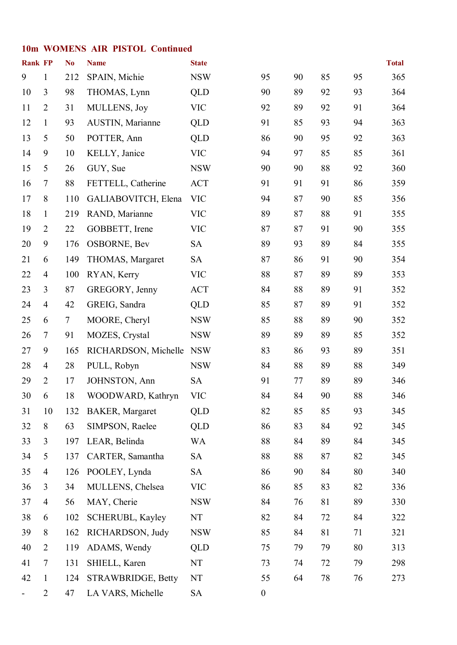#### **10m WOMENS AIR PISTOL Continued**

| <b>Rank FP</b> |                          | N <sub>0</sub> | <b>Name</b>             | <b>State</b> |                  |    |    |    | <b>Total</b> |
|----------------|--------------------------|----------------|-------------------------|--------------|------------------|----|----|----|--------------|
| 9              | $\mathbf{1}$             | 212            | SPAIN, Michie           | <b>NSW</b>   | 95               | 90 | 85 | 95 | 365          |
| 10             | 3                        | 98             | THOMAS, Lynn            | <b>QLD</b>   | 90               | 89 | 92 | 93 | 364          |
| 11             | $\overline{2}$           | 31             | MULLENS, Joy            | <b>VIC</b>   | 92               | 89 | 92 | 91 | 364          |
| 12             | $\mathbf{1}$             | 93             | <b>AUSTIN, Marianne</b> | <b>QLD</b>   | 91               | 85 | 93 | 94 | 363          |
| 13             | 5                        | 50             | POTTER, Ann             | <b>QLD</b>   | 86               | 90 | 95 | 92 | 363          |
| 14             | 9                        | 10             | KELLY, Janice           | <b>VIC</b>   | 94               | 97 | 85 | 85 | 361          |
| 15             | 5                        | 26             | GUY, Sue                | <b>NSW</b>   | 90               | 90 | 88 | 92 | 360          |
| 16             | $\overline{7}$           | 88             | FETTELL, Catherine      | <b>ACT</b>   | 91               | 91 | 91 | 86 | 359          |
| 17             | 8                        | 110            | GALIABOVITCH, Elena     | <b>VIC</b>   | 94               | 87 | 90 | 85 | 356          |
| 18             | $\mathbf{1}$             | 219            | RAND, Marianne          | <b>VIC</b>   | 89               | 87 | 88 | 91 | 355          |
| 19             | $\overline{2}$           | 22             | GOBBETT, Irene          | <b>VIC</b>   | 87               | 87 | 91 | 90 | 355          |
| 20             | 9                        | 176            | OSBORNE, Bev            | <b>SA</b>    | 89               | 93 | 89 | 84 | 355          |
| 21             | 6                        | 149            | THOMAS, Margaret        | <b>SA</b>    | 87               | 86 | 91 | 90 | 354          |
| 22             | $\overline{4}$           | 100            | RYAN, Kerry             | <b>VIC</b>   | 88               | 87 | 89 | 89 | 353          |
| 23             | 3                        | 87             | GREGORY, Jenny          | <b>ACT</b>   | 84               | 88 | 89 | 91 | 352          |
| 24             | $\overline{4}$           | 42             | GREIG, Sandra           | <b>QLD</b>   | 85               | 87 | 89 | 91 | 352          |
| 25             | 6                        | 7              | MOORE, Cheryl           | <b>NSW</b>   | 85               | 88 | 89 | 90 | 352          |
| 26             | $\tau$                   | 91             | MOZES, Crystal          | <b>NSW</b>   | 89               | 89 | 89 | 85 | 352          |
| 27             | 9                        | 165            | RICHARDSON, Michelle    | <b>NSW</b>   | 83               | 86 | 93 | 89 | 351          |
| 28             | 4                        | 28             | PULL, Robyn             | <b>NSW</b>   | 84               | 88 | 89 | 88 | 349          |
| 29             | $\overline{2}$           | 17             | JOHNSTON, Ann           | <b>SA</b>    | 91               | 77 | 89 | 89 | 346          |
| 30             | 6                        | 18             | WOODWARD, Kathryn       | <b>VIC</b>   | 84               | 84 | 90 | 88 | 346          |
| 31             | 10                       | 132            | <b>BAKER, Margaret</b>  | <b>QLD</b>   | 82               | 85 | 85 | 93 | 345          |
| 32             | 8                        | 63             | SIMPSON, Raelee         | <b>QLD</b>   | 86               | 83 | 84 | 92 | 345          |
| 33             | 3                        | 197            | LEAR, Belinda           | WA           | 88               | 84 | 89 | 84 | 345          |
| 34             | 5                        | 137            | CARTER, Samantha        | <b>SA</b>    | 88               | 88 | 87 | 82 | 345          |
| 35             | $\overline{4}$           | 126            | POOLEY, Lynda           | <b>SA</b>    | 86               | 90 | 84 | 80 | 340          |
| 36             | 3                        | 34             | MULLENS, Chelsea        | <b>VIC</b>   | 86               | 85 | 83 | 82 | 336          |
| 37             | $\overline{4}$           | 56             | MAY, Cherie             | <b>NSW</b>   | 84               | 76 | 81 | 89 | 330          |
| 38             | 6                        | 102            | SCHERUBL, Kayley        | NT           | 82               | 84 | 72 | 84 | 322          |
| 39             | 8                        | 162            | RICHARDSON, Judy        | <b>NSW</b>   | 85               | 84 | 81 | 71 | 321          |
| 40             | $\overline{2}$           | 119            | ADAMS, Wendy            | <b>QLD</b>   | 75               | 79 | 79 | 80 | 313          |
| 41             | $\overline{\mathcal{L}}$ | 131            | SHIELL, Karen           | NT           | 73               | 74 | 72 | 79 | 298          |
| 42             | 1                        | 124            | STRAWBRIDGE, Betty      | NT           | 55               | 64 | 78 | 76 | 273          |
|                | $\overline{2}$           | 47             | LA VARS, Michelle       | <b>SA</b>    | $\boldsymbol{0}$ |    |    |    |              |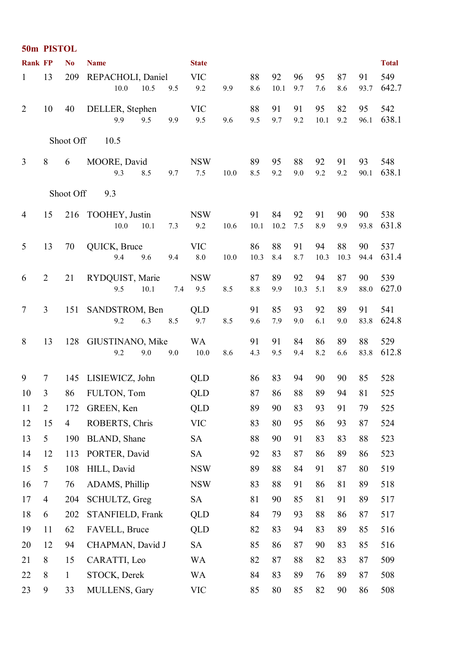|                | 50m PISTOL     |                |                                           |                       |      |            |            |            |            |            |            |              |  |
|----------------|----------------|----------------|-------------------------------------------|-----------------------|------|------------|------------|------------|------------|------------|------------|--------------|--|
| <b>Rank FP</b> |                | N <sub>0</sub> | <b>Name</b>                               | <b>State</b>          |      |            |            |            |            |            |            | <b>Total</b> |  |
| $\mathbf{1}$   | 13             | 209            | REPACHOLI, Daniel<br>10.0<br>10.5<br>9.5  | <b>VIC</b><br>9.2     | 9.9  | 88<br>8.6  | 92<br>10.1 | 96<br>9.7  | 95<br>7.6  | 87<br>8.6  | 91<br>93.7 | 549<br>642.7 |  |
| $\overline{2}$ | 10             | 40             | DELLER, Stephen<br>9.9<br>9.5<br>9.9      | <b>VIC</b><br>9.5     | 9.6  | 88<br>9.5  | 91<br>9.7  | 91<br>9.2  | 95<br>10.1 | 82<br>9.2  | 95<br>96.1 | 542<br>638.1 |  |
|                |                | Shoot Off      | 10.5                                      |                       |      |            |            |            |            |            |            |              |  |
| $\overline{3}$ | $8\,$          | 6              | MOORE, David<br>9.3<br>8.5<br>9.7         | <b>NSW</b><br>7.5     | 10.0 | 89<br>8.5  | 95<br>9.2  | 88<br>9.0  | 92<br>9.2  | 91<br>9.2  | 93<br>90.1 | 548<br>638.1 |  |
|                |                | Shoot Off      | 9.3                                       |                       |      |            |            |            |            |            |            |              |  |
| 4              | 15             |                | 216 TOOHEY, Justin<br>10.0<br>10.1<br>7.3 | <b>NSW</b><br>9.2     | 10.6 | 91<br>10.1 | 84<br>10.2 | 92<br>7.5  | 91<br>8.9  | 90<br>9.9  | 90<br>93.8 | 538<br>631.8 |  |
| 5              | 13             | 70             | QUICK, Bruce<br>9.4<br>9.6<br>9.4         | <b>VIC</b><br>$8.0\,$ | 10.0 | 86<br>10.3 | 88<br>8.4  | 91<br>8.7  | 94<br>10.3 | 88<br>10.3 | 90<br>94.4 | 537<br>631.4 |  |
| 6              | $\overline{2}$ | 21             | RYDQUIST, Marie<br>10.1<br>9.5<br>7.4     | <b>NSW</b><br>9.5     | 8.5  | 87<br>8.8  | 89<br>9.9  | 92<br>10.3 | 94<br>5.1  | 87<br>8.9  | 90<br>88.0 | 539<br>627.0 |  |
| $\overline{7}$ | 3              | 151            | SANDSTROM, Ben<br>9.2<br>6.3<br>8.5       | QLD<br>9.7            | 8.5  | 91<br>9.6  | 85<br>7.9  | 93<br>9.0  | 92<br>6.1  | 89<br>9.0  | 91<br>83.8 | 541<br>624.8 |  |
| 8              | 13             | 128            | GIUSTINANO, Mike<br>9.2<br>9.0<br>9.0     | <b>WA</b><br>10.0     | 8.6  | 91<br>4.3  | 91<br>9.5  | 84<br>9.4  | 86<br>8.2  | 89<br>6.6  | 88<br>83.8 | 529<br>612.8 |  |
| 9              | $\tau$         |                | 145 LISIEWICZ, John                       | QLD                   |      | 86         | 83         | 94         | 90         | 90         | 85         | 528          |  |
| 10             | 3              | 86             | FULTON, Tom                               | <b>QLD</b>            |      | 87         | 86         | 88         | 89         | 94         | 81         | 525          |  |
| 11             | $\overline{2}$ | 172            | GREEN, Ken                                | <b>QLD</b>            |      | 89         | 90         | 83         | 93         | 91         | 79         | 525          |  |
| 12             | 15             | $\overline{4}$ | ROBERTS, Chris                            | <b>VIC</b>            |      | 83         | 80         | 95         | 86         | 93         | 87         | 524          |  |
| 13             | 5              | 190            | BLAND, Shane                              | <b>SA</b>             |      | 88         | 90         | 91         | 83         | 83         | 88         | 523          |  |
| 14             | 12             | 113            | PORTER, David                             | <b>SA</b>             |      | 92         | 83         | 87         | 86         | 89         | 86         | 523          |  |
| 15             | 5              | 108            | HILL, David                               | <b>NSW</b>            |      | 89         | 88         | 84         | 91         | 87         | 80         | 519          |  |
| 16             | $\tau$         | 76             | ADAMS, Phillip                            | <b>NSW</b>            |      | 83         | 88         | 91         | 86         | 81         | 89         | 518          |  |
| 17             | $\overline{4}$ | 204            | SCHULTZ, Greg                             | <b>SA</b>             |      | 81         | 90         | 85         | 81         | 91         | 89         | 517          |  |
| 18             | 6              | 202            | STANFIELD, Frank                          | <b>QLD</b>            |      | 84         | 79         | 93         | 88         | 86         | 87         | 517          |  |
| 19             | 11             | 62             | FAVELL, Bruce                             | <b>QLD</b>            |      | 82         | 83         | 94         | 83         | 89         | 85         | 516          |  |
| 20             | 12             | 94             | CHAPMAN, David J                          | <b>SA</b>             |      | 85         | 86         | 87         | 90         | 83         | 85         | 516          |  |
| 21             | 8              | 15             | CARATTI, Leo                              | WA                    |      | 82         | 87         | 88         | 82         | 83         | 87         | 509          |  |
| 22             | 8              | $\mathbf{1}$   | STOCK, Derek                              | <b>WA</b>             |      | 84         | 83         | 89         | 76         | 89         | 87         | 508          |  |
| 23             | 9              | 33             | MULLENS, Gary                             | <b>VIC</b>            |      | 85         | 80         | 85         | 82         | 90         | 86         | 508          |  |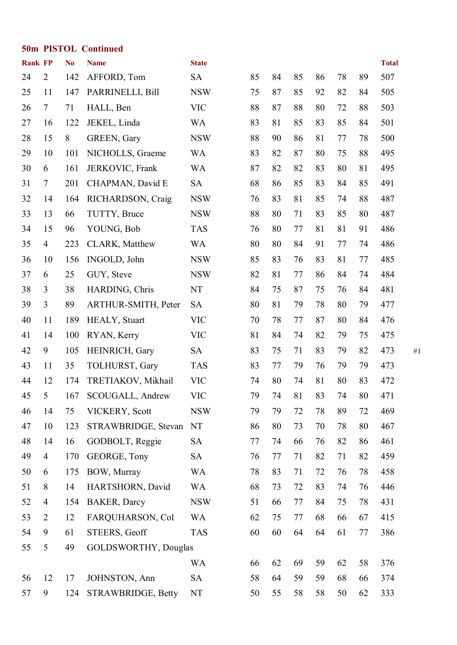|                | <b>50m PISTOL Continued</b> |                |                             |              |    |    |    |    |    |    |              |    |  |
|----------------|-----------------------------|----------------|-----------------------------|--------------|----|----|----|----|----|----|--------------|----|--|
| <b>Rank FP</b> |                             | N <sub>0</sub> | <b>Name</b>                 | <b>State</b> |    |    |    |    |    |    | <b>Total</b> |    |  |
| 24             | $\overline{2}$              | 142            | AFFORD, Tom                 | <b>SA</b>    | 85 | 84 | 85 | 86 | 78 | 89 | 507          |    |  |
| 25             | 11                          | 147            | PARRINELLI, Bill            | <b>NSW</b>   | 75 | 87 | 85 | 92 | 82 | 84 | 505          |    |  |
| 26             | $\tau$                      | 71             | HALL, Ben                   | <b>VIC</b>   | 88 | 87 | 88 | 80 | 72 | 88 | 503          |    |  |
| 27             | 16                          | 122            | JEKEL, Linda                | <b>WA</b>    | 83 | 81 | 85 | 83 | 85 | 84 | 501          |    |  |
| 28             | 15                          | 8              | GREEN, Gary                 | <b>NSW</b>   | 88 | 90 | 86 | 81 | 77 | 78 | 500          |    |  |
| 29             | 10                          | 101            | NICHOLLS, Graeme            | <b>WA</b>    | 83 | 82 | 87 | 80 | 75 | 88 | 495          |    |  |
| 30             | 6                           | 161            | JERKOVIC, Frank             | <b>WA</b>    | 87 | 82 | 82 | 83 | 80 | 81 | 495          |    |  |
| 31             | $\tau$                      | 201            | CHAPMAN, David E            | <b>SA</b>    | 68 | 86 | 85 | 83 | 84 | 85 | 491          |    |  |
| 32             | 14                          | 164            | RICHARDSON, Craig           | <b>NSW</b>   | 76 | 83 | 81 | 85 | 74 | 88 | 487          |    |  |
| 33             | 13                          | 66             | TUTTY, Bruce                | <b>NSW</b>   | 88 | 80 | 71 | 83 | 85 | 80 | 487          |    |  |
| 34             | 15                          | 96             | YOUNG, Bob                  | <b>TAS</b>   | 76 | 80 | 77 | 81 | 81 | 91 | 486          |    |  |
| 35             | $\overline{4}$              | 223            | CLARK, Matthew              | <b>WA</b>    | 80 | 80 | 84 | 91 | 77 | 74 | 486          |    |  |
| 36             | 10                          | 156            | INGOLD, John                | <b>NSW</b>   | 85 | 83 | 76 | 83 | 81 | 77 | 485          |    |  |
| 37             | 6                           | 25             | GUY, Steve                  | <b>NSW</b>   | 82 | 81 | 77 | 86 | 84 | 74 | 484          |    |  |
| 38             | 3                           | 38             | HARDING, Chris              | NT           | 84 | 75 | 87 | 75 | 76 | 84 | 481          |    |  |
| 39             | 3                           | 89             | ARTHUR-SMITH, Peter         | <b>SA</b>    | 80 | 81 | 79 | 78 | 80 | 79 | 477          |    |  |
| 40             | 11                          | 189            | HEALY, Stuart               | <b>VIC</b>   | 70 | 78 | 77 | 87 | 80 | 84 | 476          |    |  |
| 41             | 14                          | 100            | RYAN, Kerry                 | <b>VIC</b>   | 81 | 84 | 74 | 82 | 79 | 75 | 475          |    |  |
| 42             | 9                           | 105            | HEINRICH, Gary              | <b>SA</b>    | 83 | 75 | 71 | 83 | 79 | 82 | 473          | #1 |  |
| 43             | 11                          | 35             | TOLHURST, Gary              | <b>TAS</b>   | 83 | 77 | 79 | 76 | 79 | 79 | 473          |    |  |
| 44             | 12                          | 174            | TRETIAKOV, Mikhail          | <b>VIC</b>   | 74 | 80 | 74 | 81 | 80 | 83 | 472          |    |  |
| 45             | 5                           | 167            | SCOUGALL, Andrew            | <b>VIC</b>   | 79 | 74 | 81 | 83 | 74 | 80 | 471          |    |  |
| 46             | 14                          | 75             | VICKERY, Scott              | <b>NSW</b>   | 79 | 79 | 72 | 78 | 89 | 72 | 469          |    |  |
| 47             | 10                          | 123            | STRAWBRIDGE, Stevan         | NT           | 86 | 80 | 73 | 70 | 78 | 80 | 467          |    |  |
| 48             | 14                          | 16             | GODBOLT, Reggie             | <b>SA</b>    | 77 | 74 | 66 | 76 | 82 | 86 | 461          |    |  |
| 49             | $\overline{4}$              | 170            | GEORGE, Tony                | <b>SA</b>    | 76 | 77 | 71 | 82 | 71 | 82 | 459          |    |  |
| 50             | 6                           | 175            | BOW, Murray                 | <b>WA</b>    | 78 | 83 | 71 | 72 | 76 | 78 | 458          |    |  |
| 51             | 8                           | 14             | HARTSHORN, David            | <b>WA</b>    | 68 | 73 | 72 | 83 | 74 | 76 | 446          |    |  |
| 52             | $\overline{4}$              | 154            | <b>BAKER</b> , Darcy        | <b>NSW</b>   | 51 | 66 | 77 | 84 | 75 | 78 | 431          |    |  |
| 53             | 2                           | 12             | FARQUHARSON, Col            | <b>WA</b>    | 62 | 75 | 77 | 68 | 66 | 67 | 415          |    |  |
| 54             | 9                           | 61             | STEERS, Geoff               | <b>TAS</b>   | 60 | 60 | 64 | 64 | 61 | 77 | 386          |    |  |
| 55             | 5                           | 49             | <b>GOLDSWORTHY, Douglas</b> |              |    |    |    |    |    |    |              |    |  |
|                |                             |                |                             | <b>WA</b>    | 66 | 62 | 69 | 59 | 62 | 58 | 376          |    |  |
| 56             | 12                          | 17             | JOHNSTON, Ann               | <b>SA</b>    | 58 | 64 | 59 | 59 | 68 | 66 | 374          |    |  |
| 57             | 9                           | 124            | STRAWBRIDGE, Betty          | NT           | 50 | 55 | 58 | 58 | 50 | 62 | 333          |    |  |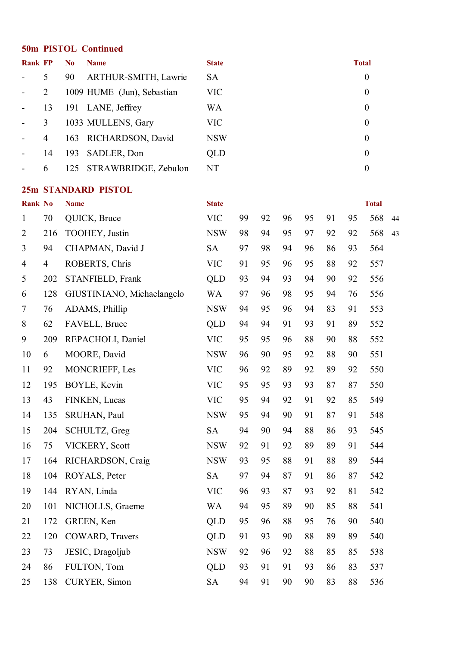#### **50m PISTOL Continued**

| <b>Rank FP</b> |                | N <sub>0</sub> | <b>Name</b>                | <b>State</b> | <b>Total</b>   |
|----------------|----------------|----------------|----------------------------|--------------|----------------|
|                | 5              | 90             | ARTHUR-SMITH, Lawrie       | <b>SA</b>    | $\theta$       |
|                | $\overline{2}$ |                | 1009 HUME (Jun), Sebastian | <b>VIC</b>   | $\theta$       |
|                | 13             |                | 191 LANE, Jeffrey          | WA           | $\theta$       |
|                | 3              |                | 1033 MULLENS, Gary         | <b>VIC</b>   | $\overline{0}$ |
|                | 4              |                | 163 RICHARDSON, David      | <b>NSW</b>   | $\overline{0}$ |
|                | 14             |                | 193 SADLER, Don            | <b>QLD</b>   | $\overline{0}$ |
|                | 6              |                | 125 STRAWBRIDGE, Zebulon   | NT           | 0              |

#### **25m STANDARD PISTOL**

| <b>Rank No</b> |                | <b>Name</b>                | <b>State</b> |    |    |    |    |    |    | <b>Total</b> |    |
|----------------|----------------|----------------------------|--------------|----|----|----|----|----|----|--------------|----|
| $\mathbf{1}$   | 70             | QUICK, Bruce               | <b>VIC</b>   | 99 | 92 | 96 | 95 | 91 | 95 | 568          | 44 |
| $\overline{2}$ | 216            | TOOHEY, Justin             | <b>NSW</b>   | 98 | 94 | 95 | 97 | 92 | 92 | 568          | 43 |
| $\overline{3}$ | 94             | CHAPMAN, David J           | <b>SA</b>    | 97 | 98 | 94 | 96 | 86 | 93 | 564          |    |
| $\overline{4}$ | $\overline{4}$ | ROBERTS, Chris             | <b>VIC</b>   | 91 | 95 | 96 | 95 | 88 | 92 | 557          |    |
| 5              | 202            | STANFIELD, Frank           | <b>QLD</b>   | 93 | 94 | 93 | 94 | 90 | 92 | 556          |    |
| 6              | 128            | GIUSTINIANO, Michaelangelo | <b>WA</b>    | 97 | 96 | 98 | 95 | 94 | 76 | 556          |    |
| $\overline{7}$ | 76             | ADAMS, Phillip             | <b>NSW</b>   | 94 | 95 | 96 | 94 | 83 | 91 | 553          |    |
| 8              | 62             | FAVELL, Bruce              | <b>QLD</b>   | 94 | 94 | 91 | 93 | 91 | 89 | 552          |    |
| 9              | 209            | REPACHOLI, Daniel          | <b>VIC</b>   | 95 | 95 | 96 | 88 | 90 | 88 | 552          |    |
| 10             | 6              | MOORE, David               | <b>NSW</b>   | 96 | 90 | 95 | 92 | 88 | 90 | 551          |    |
| 11             | 92             | MONCRIEFF, Les             | <b>VIC</b>   | 96 | 92 | 89 | 92 | 89 | 92 | 550          |    |
| 12             | 195            | BOYLE, Kevin               | <b>VIC</b>   | 95 | 95 | 93 | 93 | 87 | 87 | 550          |    |
| 13             | 43             | FINKEN, Lucas              | <b>VIC</b>   | 95 | 94 | 92 | 91 | 92 | 85 | 549          |    |
| 14             | 135            | SRUHAN, Paul               | <b>NSW</b>   | 95 | 94 | 90 | 91 | 87 | 91 | 548          |    |
| 15             | 204            | SCHULTZ, Greg              | <b>SA</b>    | 94 | 90 | 94 | 88 | 86 | 93 | 545          |    |
| 16             | 75             | VICKERY, Scott             | <b>NSW</b>   | 92 | 91 | 92 | 89 | 89 | 91 | 544          |    |
| 17             | 164            | RICHARDSON, Craig          | <b>NSW</b>   | 93 | 95 | 88 | 91 | 88 | 89 | 544          |    |
| 18             | 104            | ROYALS, Peter              | <b>SA</b>    | 97 | 94 | 87 | 91 | 86 | 87 | 542          |    |
| 19             | 144            | RYAN, Linda                | <b>VIC</b>   | 96 | 93 | 87 | 93 | 92 | 81 | 542          |    |
| 20             | 101            | NICHOLLS, Graeme           | <b>WA</b>    | 94 | 95 | 89 | 90 | 85 | 88 | 541          |    |
| 21             | 172            | GREEN, Ken                 | <b>QLD</b>   | 95 | 96 | 88 | 95 | 76 | 90 | 540          |    |
| 22             | 120            | COWARD, Travers            | <b>QLD</b>   | 91 | 93 | 90 | 88 | 89 | 89 | 540          |    |
| 23             | 73             | JESIC, Dragoljub           | <b>NSW</b>   | 92 | 96 | 92 | 88 | 85 | 85 | 538          |    |
| 24             | 86             | FULTON, Tom                | <b>QLD</b>   | 93 | 91 | 91 | 93 | 86 | 83 | 537          |    |
| 25             | 138            | CURYER, Simon              | <b>SA</b>    | 94 | 91 | 90 | 90 | 83 | 88 | 536          |    |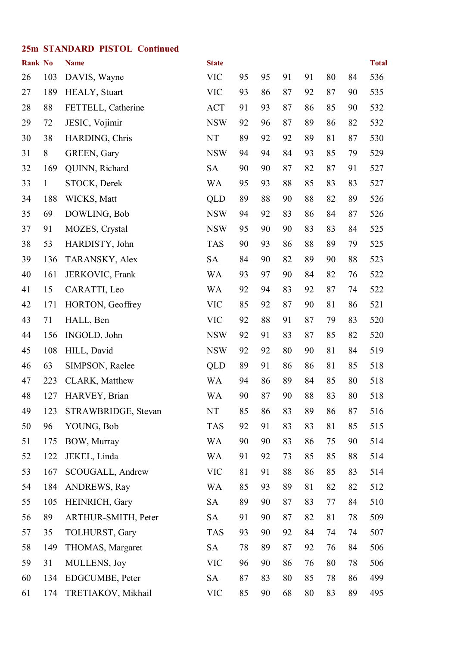#### **25m STANDARD PISTOL Continued**

| <b>Rank No</b> |              | <b>Name</b>         | <b>State</b> |    |    |    |    |    |    | <b>Total</b> |
|----------------|--------------|---------------------|--------------|----|----|----|----|----|----|--------------|
| 26             | 103          | DAVIS, Wayne        | <b>VIC</b>   | 95 | 95 | 91 | 91 | 80 | 84 | 536          |
| 27             | 189          | HEALY, Stuart       | <b>VIC</b>   | 93 | 86 | 87 | 92 | 87 | 90 | 535          |
| 28             | 88           | FETTELL, Catherine  | <b>ACT</b>   | 91 | 93 | 87 | 86 | 85 | 90 | 532          |
| 29             | 72           | JESIC, Vojimir      | <b>NSW</b>   | 92 | 96 | 87 | 89 | 86 | 82 | 532          |
| 30             | 38           | HARDING, Chris      | NT           | 89 | 92 | 92 | 89 | 81 | 87 | 530          |
| 31             | 8            | GREEN, Gary         | <b>NSW</b>   | 94 | 94 | 84 | 93 | 85 | 79 | 529          |
| 32             | 169          | QUINN, Richard      | <b>SA</b>    | 90 | 90 | 87 | 82 | 87 | 91 | 527          |
| 33             | $\mathbf{1}$ | STOCK, Derek        | <b>WA</b>    | 95 | 93 | 88 | 85 | 83 | 83 | 527          |
| 34             | 188          | WICKS, Matt         | <b>QLD</b>   | 89 | 88 | 90 | 88 | 82 | 89 | 526          |
| 35             | 69           | DOWLING, Bob        | <b>NSW</b>   | 94 | 92 | 83 | 86 | 84 | 87 | 526          |
| 37             | 91           | MOZES, Crystal      | <b>NSW</b>   | 95 | 90 | 90 | 83 | 83 | 84 | 525          |
| 38             | 53           | HARDISTY, John      | <b>TAS</b>   | 90 | 93 | 86 | 88 | 89 | 79 | 525          |
| 39             | 136          | TARANSKY, Alex      | <b>SA</b>    | 84 | 90 | 82 | 89 | 90 | 88 | 523          |
| 40             | 161          | JERKOVIC, Frank     | <b>WA</b>    | 93 | 97 | 90 | 84 | 82 | 76 | 522          |
| 41             | 15           | CARATTI, Leo        | <b>WA</b>    | 92 | 94 | 83 | 92 | 87 | 74 | 522          |
| 42             | 171          | HORTON, Geoffrey    | <b>VIC</b>   | 85 | 92 | 87 | 90 | 81 | 86 | 521          |
| 43             | 71           | HALL, Ben           | <b>VIC</b>   | 92 | 88 | 91 | 87 | 79 | 83 | 520          |
| 44             | 156          | INGOLD, John        | <b>NSW</b>   | 92 | 91 | 83 | 87 | 85 | 82 | 520          |
| 45             | 108          | HILL, David         | <b>NSW</b>   | 92 | 92 | 80 | 90 | 81 | 84 | 519          |
| 46             | 63           | SIMPSON, Raelee     | <b>QLD</b>   | 89 | 91 | 86 | 86 | 81 | 85 | 518          |
| 47             | 223          | CLARK, Matthew      | <b>WA</b>    | 94 | 86 | 89 | 84 | 85 | 80 | 518          |
| 48             | 127          | HARVEY, Brian       | WA           | 90 | 87 | 90 | 88 | 83 | 80 | 518          |
| 49             | 123          | STRAWBRIDGE, Stevan | NT           | 85 | 86 | 83 | 89 | 86 | 87 | 516          |
| 50             | 96           | YOUNG, Bob          | <b>TAS</b>   | 92 | 91 | 83 | 83 | 81 | 85 | 515          |
| 51             | 175          | BOW, Murray         | <b>WA</b>    | 90 | 90 | 83 | 86 | 75 | 90 | 514          |
| 52             | 122          | JEKEL, Linda        | <b>WA</b>    | 91 | 92 | 73 | 85 | 85 | 88 | 514          |
| 53             | 167          | SCOUGALL, Andrew    | <b>VIC</b>   | 81 | 91 | 88 | 86 | 85 | 83 | 514          |
| 54             | 184          | <b>ANDREWS, Ray</b> | <b>WA</b>    | 85 | 93 | 89 | 81 | 82 | 82 | 512          |
| 55             | 105          | HEINRICH, Gary      | <b>SA</b>    | 89 | 90 | 87 | 83 | 77 | 84 | 510          |
| 56             | 89           | ARTHUR-SMITH, Peter | <b>SA</b>    | 91 | 90 | 87 | 82 | 81 | 78 | 509          |
| 57             | 35           | TOLHURST, Gary      | <b>TAS</b>   | 93 | 90 | 92 | 84 | 74 | 74 | 507          |
| 58             | 149          | THOMAS, Margaret    | <b>SA</b>    | 78 | 89 | 87 | 92 | 76 | 84 | 506          |
| 59             | 31           | MULLENS, Joy        | <b>VIC</b>   | 96 | 90 | 86 | 76 | 80 | 78 | 506          |
| 60             | 134          | EDGCUMBE, Peter     | <b>SA</b>    | 87 | 83 | 80 | 85 | 78 | 86 | 499          |
| 61             | 174          | TRETIAKOV, Mikhail  | <b>VIC</b>   | 85 | 90 | 68 | 80 | 83 | 89 | 495          |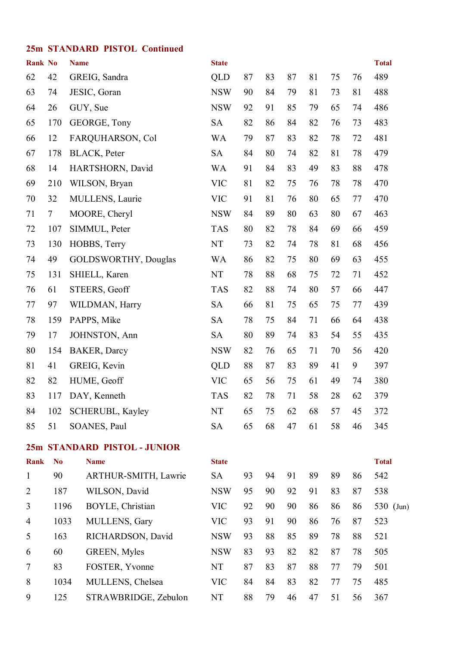#### **25m STANDARD PISTOL Continued**

| <b>Rank No</b> |                | <b>Name</b> |                              | <b>State</b> |    |    |    |    |    |    | <b>Total</b> |
|----------------|----------------|-------------|------------------------------|--------------|----|----|----|----|----|----|--------------|
| 62             | 42             |             | GREIG, Sandra                | <b>QLD</b>   | 87 | 83 | 87 | 81 | 75 | 76 | 489          |
| 63             | 74             |             | JESIC, Goran                 | <b>NSW</b>   | 90 | 84 | 79 | 81 | 73 | 81 | 488          |
| 64             | 26             |             | GUY, Sue                     | <b>NSW</b>   | 92 | 91 | 85 | 79 | 65 | 74 | 486          |
| 65             | 170            |             | GEORGE, Tony                 | <b>SA</b>    | 82 | 86 | 84 | 82 | 76 | 73 | 483          |
| 66             | 12             |             | FARQUHARSON, Col             | <b>WA</b>    | 79 | 87 | 83 | 82 | 78 | 72 | 481          |
| 67             | 178            |             | <b>BLACK, Peter</b>          | <b>SA</b>    | 84 | 80 | 74 | 82 | 81 | 78 | 479          |
| 68             | 14             |             | HARTSHORN, David             | <b>WA</b>    | 91 | 84 | 83 | 49 | 83 | 88 | 478          |
| 69             | 210            |             | WILSON, Bryan                | <b>VIC</b>   | 81 | 82 | 75 | 76 | 78 | 78 | 470          |
| 70             | 32             |             | MULLENS, Laurie              | <b>VIC</b>   | 91 | 81 | 76 | 80 | 65 | 77 | 470          |
| 71             | $\tau$         |             | MOORE, Cheryl                | <b>NSW</b>   | 84 | 89 | 80 | 63 | 80 | 67 | 463          |
| 72             | 107            |             | SIMMUL, Peter                | <b>TAS</b>   | 80 | 82 | 78 | 84 | 69 | 66 | 459          |
| 73             | 130            |             | HOBBS, Terry                 | NT           | 73 | 82 | 74 | 78 | 81 | 68 | 456          |
| 74             | 49             |             | <b>GOLDSWORTHY, Douglas</b>  | <b>WA</b>    | 86 | 82 | 75 | 80 | 69 | 63 | 455          |
| 75             | 131            |             | SHIELL, Karen                | NT           | 78 | 88 | 68 | 75 | 72 | 71 | 452          |
| 76             | 61             |             | STEERS, Geoff                | <b>TAS</b>   | 82 | 88 | 74 | 80 | 57 | 66 | 447          |
| 77             | 97             |             | WILDMAN, Harry               | <b>SA</b>    | 66 | 81 | 75 | 65 | 75 | 77 | 439          |
| 78             | 159            |             | PAPPS, Mike                  | <b>SA</b>    | 78 | 75 | 84 | 71 | 66 | 64 | 438          |
| 79             | 17             |             | JOHNSTON, Ann                | <b>SA</b>    | 80 | 89 | 74 | 83 | 54 | 55 | 435          |
| 80             | 154            |             | <b>BAKER, Darcy</b>          | <b>NSW</b>   | 82 | 76 | 65 | 71 | 70 | 56 | 420          |
| 81             | 41             |             | GREIG, Kevin                 | <b>QLD</b>   | 88 | 87 | 83 | 89 | 41 | 9  | 397          |
| 82             | 82             |             | HUME, Geoff                  | <b>VIC</b>   | 65 | 56 | 75 | 61 | 49 | 74 | 380          |
| 83             | 117            |             | DAY, Kenneth                 | <b>TAS</b>   | 82 | 78 | 71 | 58 | 28 | 62 | 379          |
| 84             | 102            |             | SCHERUBL, Kayley             | NT           | 65 | 75 | 62 | 68 | 57 | 45 | 372          |
| 85             | 51             |             | SOANES, Paul                 | <b>SA</b>    | 65 | 68 | 47 | 61 | 58 | 46 | 345          |
|                |                |             | 25m STANDARD PISTOL - JUNIOR |              |    |    |    |    |    |    |              |
| <b>Rank</b>    | N <sub>0</sub> |             | <b>Name</b>                  | <b>State</b> |    |    |    |    |    |    | <b>Total</b> |
| $\mathbf{1}$   | 90             |             | ARTHUR-SMITH, Lawrie         | <b>SA</b>    | 93 | 94 | 91 | 89 | 89 | 86 | 542          |
| $\overline{2}$ | 187            |             | WILSON, David                | <b>NSW</b>   | 95 | 90 | 92 | 91 | 83 | 87 | 538          |
| 3              | 1196           |             | BOYLE, Christian             | <b>VIC</b>   | 92 | 90 | 90 | 86 | 86 | 86 | 530 (Jun)    |
| 4              | 1033           |             | MULLENS, Gary                | <b>VIC</b>   | 93 | 91 | 90 | 86 | 76 | 87 | 523          |
| 5              | 163            |             | RICHARDSON, David            | <b>NSW</b>   | 93 | 88 | 85 | 89 | 78 | 88 | 521          |
| 6              | 60             |             | GREEN, Myles                 | <b>NSW</b>   | 83 | 93 | 82 | 82 | 87 | 78 | 505          |
| 7              | 83             |             | FOSTER, Yvonne               | NT           | 87 | 83 | 87 | 88 | 77 | 79 | 501          |
| 8              | 1034           |             | MULLENS, Chelsea             | <b>VIC</b>   | 84 | 84 | 83 | 82 | 77 | 75 | 485          |
| 9              | 125            |             | STRAWBRIDGE, Zebulon         | NT           | 88 | 79 | 46 | 47 | 51 | 56 | 367          |
|                |                |             |                              |              |    |    |    |    |    |    |              |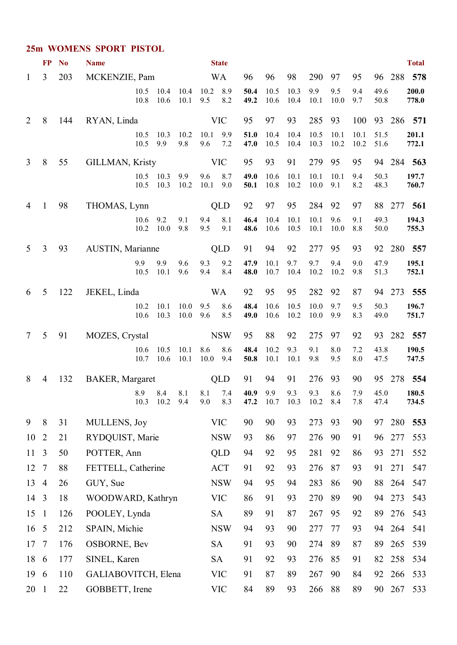#### **25m WOMENS SPORT PISTOL**

|                | <b>FP</b>                        | N <sub>0</sub> | <b>Name</b>                    |              |                      |              |             | <b>State</b>            |              |              |                                |              |              |              |              |            | <b>Total</b>   |
|----------------|----------------------------------|----------------|--------------------------------|--------------|----------------------|--------------|-------------|-------------------------|--------------|--------------|--------------------------------|--------------|--------------|--------------|--------------|------------|----------------|
| $\mathbf{1}$   | $\overline{3}$                   | 203            | MCKENZIE, Pam                  |              |                      |              |             | <b>WA</b>               | 96           | 96           | 98                             | 290          | 97           | 95           |              |            | 96 288 578     |
|                |                                  |                |                                | 10.5<br>10.8 | 10.4<br>10.6         | 10.4<br>10.1 | 10.2<br>9.5 | 8.9<br>8.2              | 50.4<br>49.2 | 10.5<br>10.6 | 10.3<br>10.4                   | 9.9<br>10.1  | 9.5<br>10.0  | 9.4<br>9.7   | 49.6<br>50.8 |            | 200.0<br>778.0 |
| $\overline{2}$ | 8                                | 144            | RYAN, Linda                    |              |                      |              |             | <b>VIC</b>              | 95           | 97           | 93                             | 285          | 93           | 100          |              |            | 93 286 571     |
|                |                                  |                |                                | 10.5<br>10.5 | 10.3<br>9.9          | 10.2<br>9.8  | 10.1<br>9.6 | 9.9<br>7.2              | 51.0<br>47.0 | 10.4<br>10.5 | 10.4<br>10.4                   | 10.5<br>10.3 | 10.1<br>10.2 | 10.1<br>10.2 | 51.5<br>51.6 |            | 201.1<br>772.1 |
| $\overline{3}$ | 8                                | 55             | <b>GILLMAN, Kristy</b>         |              |                      |              |             | <b>VIC</b>              | 95           | 93           | 91                             | 279          | 95           | 95           |              |            | 94 284 563     |
|                |                                  |                |                                | 10.5         | 10.5 10.3<br>10.3    | 9.9<br>10.2  | 9.6<br>10.1 | 8.7<br>9.0              | 49.0<br>50.1 | 10.6<br>10.8 | 10.1<br>10.2                   | 10.1<br>10.0 | 10.1<br>9.1  | 9.4<br>8.2   | 50.3<br>48.3 |            | 197.7<br>760.7 |
| 4              | 1                                | 98             | THOMAS, Lynn                   |              |                      |              |             | QLD                     | 92           | 97           | 95                             | 284          | 92           | 97           |              | 88 277     | 561            |
|                |                                  |                |                                | 10.6<br>10.2 | 9.2<br>10.0          | 9.1<br>9.8   | 9.4<br>9.5  | 8.1<br>9.1              | 46.4<br>48.6 | 10.4<br>10.6 | 10.1<br>10.5                   | 10.1<br>10.1 | 9.6<br>10.0  | 9.1<br>8.8   | 49.3<br>50.0 |            | 194.3<br>755.3 |
| 5              | 3                                | 93             | AUSTIN, Marianne               |              |                      |              |             | QLD                     | 91           | 94           | 92                             | 277          | 95           | 93           |              |            | 92 280 557     |
|                |                                  |                |                                | 9.9<br>10.5  | 9.9<br>10.1          | 9.6<br>9.6   | 9.3<br>9.4  | 9.2<br>8.4              | 47.9<br>48.0 | 10.1<br>10.7 | 9.7<br>10.4                    | 9.7<br>10.2  | 9.4<br>10.2  | 9.0<br>9.8   | 47.9<br>51.3 |            | 195.1<br>752.1 |
| 6              | 5                                | 122            | JEKEL, Linda                   |              |                      |              |             | <b>WA</b>               | 92           | 95           | 95                             | 282          | 92           | 87           |              | 94 273     | 555            |
|                |                                  |                |                                | 10.2<br>10.6 | 10.1<br>10.3         | 10.0<br>10.0 | 9.5<br>9.6  | 8.6<br>8.5              | 48.4<br>49.0 | 10.6<br>10.6 | 10.5<br>10.2                   | 10.0<br>10.0 | 9.7<br>9.9   | 9.5<br>8.3   | 50.3<br>49.0 |            | 196.7<br>751.7 |
| $\tau$         | 5                                | 91             | MOZES, Crystal                 |              |                      |              |             | <b>NSW</b>              | 95           | 88           | 92                             | 275          | 97           | 92           |              | 93 282     | 557            |
|                |                                  |                |                                | 10.6<br>10.7 | 10.5<br>10.6         | 10.1<br>10.1 | 8.6<br>10.0 | 8.6<br>9.4              | 48.4<br>50.8 | 10.2<br>10.1 | 9.3<br>10.1                    | 9.1<br>9.8   | 8.0<br>9.5   | 7.2<br>8.0   | 43.8<br>47.5 |            | 190.5<br>747.5 |
| 8              | 4                                | 132            | <b>BAKER, Margaret</b>         |              |                      |              |             | QLD                     | 91           | 94           | 91                             | 276          | 93           | 90           |              | 95 278     | 554            |
|                |                                  |                |                                | 8.9          | 8.4<br>10.3 10.2 9.4 | 8.1          | 8.1<br>9.0  | 7.4<br>8.3              | 40.9         | 9.9          | 9.3<br>47.2 10.7 10.3 10.2 8.4 | 9.3          | 8.6          | 7.9<br>7.8   | 45.0<br>47.4 |            | 180.5<br>734.5 |
| 9              | 8                                | 31             | MULLENS, Joy                   |              |                      |              |             | <b>VIC</b>              | 90           | 90           | 93                             | 273          | 93           | 90           | 97           | 280        | 553            |
| 10             | 2                                | 21             | RYDQUIST, Marie                |              |                      |              |             | <b>NSW</b>              | 93           | 86           | 97                             | 276          | 90           | 91           | 96           | 277        | 553            |
| 11             | 3                                | 50             | POTTER, Ann                    |              |                      |              |             | <b>QLD</b>              | 94           | 92           | 95                             | 281          | 92           | 86           | 93           | 271        | 552            |
| 12             | $\overline{7}$                   | 88             | FETTELL, Catherine             |              |                      |              |             | <b>ACT</b>              | 91           | 92           | 93                             | 276          | 87           | 93           | 91           | 271        | 547            |
| 13             | $\overline{4}$                   | 26             | GUY, Sue                       |              |                      |              |             | <b>NSW</b>              | 94           | 95           | 94                             | 283          | 86           | 90           | 88           | 264        | 547            |
| 14             | 3                                | 18             | WOODWARD, Kathryn              |              |                      |              |             | <b>VIC</b>              | 86           | 91           | 93                             | 270          | 89           | 90           | 94           | 273        | 543            |
| 15<br>16       | $\overline{1}$<br>$\overline{5}$ | 126<br>212     | POOLEY, Lynda<br>SPAIN, Michie |              |                      |              |             | <b>SA</b><br><b>NSW</b> | 89<br>94     | 91<br>93     | 87<br>90                       | 267<br>277   | 95<br>77     | 92<br>93     | 89           | 276<br>264 | 543<br>541     |
| 17             | $\overline{7}$                   | 176            | <b>OSBORNE, Bev</b>            |              |                      |              |             | <b>SA</b>               | 91           | 93           | 90                             | 274          | 89           | 87           | 94<br>89     | 265        | 539            |
| 18             | 6                                | 177            | SINEL, Karen                   |              |                      |              |             | SA                      | 91           | 92           | 93                             | 276          | 85           | 91           | 82           | 258        | 534            |
| 19             | 6                                | 110            | GALIABOVITCH, Elena            |              |                      |              |             | <b>VIC</b>              | 91           | 87           | 89                             | 267          | 90           | 84           | 92           | 266        | 533            |
| 20             | $\overline{1}$                   | 22             | GOBBETT, Irene                 |              |                      |              |             | <b>VIC</b>              | 84           | 89           | 93                             | 266          | 88           | 89           |              | 90 267     | 533            |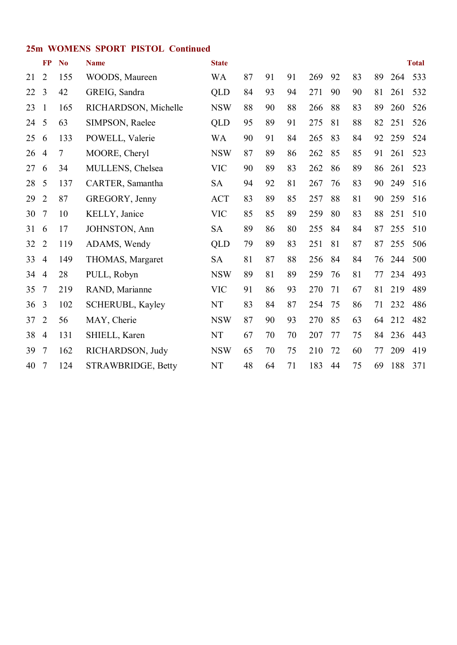#### **25m WOMENS SPORT PISTOL Continued**

| <b>FP</b>      | N <sub>0</sub> | <b>Name</b>             | <b>State</b> |    |    |    |     |    |    |    |     | <b>Total</b> |
|----------------|----------------|-------------------------|--------------|----|----|----|-----|----|----|----|-----|--------------|
| $\overline{2}$ | 155            | WOODS, Maureen          | <b>WA</b>    | 87 | 91 | 91 | 269 | 92 | 83 | 89 | 264 | 533          |
| 3              | 42             | GREIG, Sandra           | QLD          | 84 | 93 | 94 | 271 | 90 | 90 | 81 | 261 | 532          |
| $\mathbf{1}$   | 165            | RICHARDSON, Michelle    | <b>NSW</b>   | 88 | 90 | 88 | 266 | 88 | 83 | 89 | 260 | 526          |
| 5              | 63             | SIMPSON, Raelee         | <b>QLD</b>   | 95 | 89 | 91 | 275 | 81 | 88 | 82 | 251 | 526          |
| 6              | 133            | POWELL, Valerie         | <b>WA</b>    | 90 | 91 | 84 | 265 | 83 | 84 | 92 | 259 | 524          |
| $\overline{4}$ | $\overline{7}$ | MOORE, Cheryl           | <b>NSW</b>   | 87 | 89 | 86 | 262 | 85 | 85 | 91 | 261 | 523          |
| 6              | 34             | MULLENS, Chelsea        | <b>VIC</b>   | 90 | 89 | 83 | 262 | 86 | 89 | 86 | 261 | 523          |
| 5              | 137            | CARTER, Samantha        | <b>SA</b>    | 94 | 92 | 81 | 267 | 76 | 83 | 90 | 249 | 516          |
| $\overline{2}$ | 87             | GREGORY, Jenny          | <b>ACT</b>   | 83 | 89 | 85 | 257 | 88 | 81 | 90 | 259 | 516          |
| $\overline{7}$ | 10             | KELLY, Janice           | <b>VIC</b>   | 85 | 85 | 89 | 259 | 80 | 83 | 88 | 251 | 510          |
| 6              | 17             | <b>JOHNSTON, Ann</b>    | <b>SA</b>    | 89 | 86 | 80 | 255 | 84 | 84 | 87 | 255 | 510          |
| 2              | 119            | ADAMS, Wendy            | QLD          | 79 | 89 | 83 | 251 | 81 | 87 | 87 | 255 | 506          |
| $\overline{4}$ | 149            | THOMAS, Margaret        | <b>SA</b>    | 81 | 87 | 88 | 256 | 84 | 84 | 76 | 244 | 500          |
| $\overline{4}$ | 28             | PULL, Robyn             | <b>NSW</b>   | 89 | 81 | 89 | 259 | 76 | 81 | 77 | 234 | 493          |
| 7              | 219            | RAND, Marianne          | <b>VIC</b>   | 91 | 86 | 93 | 270 | 71 | 67 | 81 | 219 | 489          |
| 3              | 102            | <b>SCHERUBL, Kayley</b> | NT           | 83 | 84 | 87 | 254 | 75 | 86 | 71 | 232 | 486          |
| 2              | 56             | MAY, Cherie             | <b>NSW</b>   | 87 | 90 | 93 | 270 | 85 | 63 | 64 | 212 | 482          |
| $\overline{4}$ | 131            | SHIELL, Karen           | NT           | 67 | 70 | 70 | 207 | 77 | 75 | 84 | 236 | 443          |
| 7              | 162            | RICHARDSON, Judy        | <b>NSW</b>   | 65 | 70 | 75 | 210 | 72 | 60 | 77 | 209 | 419          |
| $\overline{7}$ | 124            | STRAWBRIDGE, Betty      | NT           | 48 | 64 | 71 | 183 | 44 | 75 | 69 | 188 | 371          |
|                |                |                         |              |    |    |    |     |    |    |    |     |              |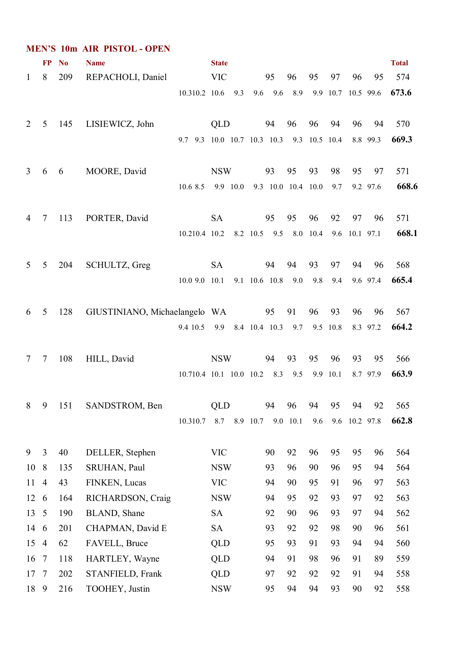|              |                |           | <b>MEN'S 10m AIR PISTOL - OPEN</b> |                                           |              |          |      |               |                       |     |                    |               |           |              |
|--------------|----------------|-----------|------------------------------------|-------------------------------------------|--------------|----------|------|---------------|-----------------------|-----|--------------------|---------------|-----------|--------------|
|              | <b>FP</b>      | <b>No</b> | <b>Name</b>                        |                                           | <b>State</b> |          |      |               |                       |     |                    |               |           | <b>Total</b> |
| $\mathbf{1}$ | 8              | 209       | REPACHOLI, Daniel                  |                                           | <b>VIC</b>   |          |      | 95            | 96                    | 95  | 97                 | 96            | 95        | 574          |
|              |                |           |                                    | 10.310.2 10.6                             |              | 9.3      |      |               | 9.6 9.6 8.9           |     | 9.9 10.7 10.5 99.6 |               |           | 673.6        |
| 2            | 5              | 145       | LISIEWICZ, John                    |                                           | QLD          |          |      | 94            | 96                    | 96  | 94                 | 96            | 94        | 570          |
|              |                |           |                                    | 9.7 9.3 10.0 10.7 10.3 10.3 9.3 10.5 10.4 |              |          |      |               |                       |     |                    |               | 8.8 99.3  | 669.3        |
| 3            | 6              | 6         | MOORE, David                       |                                           | <b>NSW</b>   |          |      | 93            | 95                    | 93  | 98                 | 95            | 97        | 571          |
|              |                |           |                                    | 10.6 8.5                                  |              | 9.9 10.0 |      |               | 9.3 10.0 10.4 10.0    |     | 9.7                |               | 9.2 97.6  | 668.6        |
| 4            | 7              | 113       | PORTER, David                      |                                           | <b>SA</b>    |          |      | 95            | 95                    | 96  | 92                 | 97            | 96        | 571          |
|              |                |           |                                    | 10.210.4 10.2                             |              |          |      |               | 8.2 10.5 9.5 8.0 10.4 |     |                    | 9.6 10.1 97.1 |           | 668.1        |
| 5            | 5              | 204       | SCHULTZ, Greg                      |                                           | <b>SA</b>    |          |      | 94            | 94                    | 93  | 97                 | 94            | 96        | 568          |
|              |                |           |                                    | 10.09.0                                   | 10.1         |          |      | 9.1 10.6 10.8 | 9.0                   | 9.8 | 9.4                |               | 9.6 97.4  | 665.4        |
| 6            | 5              | 128       | GIUSTINIANO, Michaelangelo WA      |                                           |              |          |      | 95            | 91                    | 96  | 93                 | 96            | 96        | 567          |
|              |                |           |                                    | 9.4 10.5                                  | 9.9          |          |      |               | 8.4 10.4 10.3 9.7     |     | 9.5 10.8           |               | 8.3 97.2  | 664.2        |
| 7            | 7              | 108       | HILL, David                        |                                           | <b>NSW</b>   |          |      | 94            | 93                    | 95  | 96                 | 93            | 95        | 566          |
|              |                |           |                                    | 10.710.4 10.1 10.0 10.2                   |              |          |      | 8.3           | 9.5                   | 9.9 | 10.1               |               | 8.7 97.9  | 663.9        |
| 8            | 9              | 151       | SANDSTROM, Ben                     |                                           | <b>QLD</b>   |          |      | 94            | 96                    | 94  | 95                 | 94            | 92        | 565          |
|              |                |           |                                    | 10.310.7                                  | 8.7          | 8.9      | 10.7 | 9.0           | 10.1                  | 9.6 | 9.6                |               | 10.2 97.8 | 662.8        |
| 9            | 3              | 40        | DELLER, Stephen                    |                                           | <b>VIC</b>   |          |      | 90            | 92                    | 96  | 95                 | 95            | 96        | 564          |
| 10           | 8              | 135       | SRUHAN, Paul                       |                                           | <b>NSW</b>   |          |      | 93            | 96                    | 90  | 96                 | 95            | 94        | 564          |
| 11           | $\overline{4}$ | 43        | FINKEN, Lucas                      |                                           | <b>VIC</b>   |          |      | 94            | 90                    | 95  | 91                 | 96            | 97        | 563          |
| 12           | 6              | 164       | RICHARDSON, Craig                  |                                           | <b>NSW</b>   |          |      | 94            | 95                    | 92  | 93                 | 97            | 92        | 563          |
| 13           | 5              | 190       | BLAND, Shane                       |                                           | <b>SA</b>    |          |      | 92            | 90                    | 96  | 93                 | 97            | 94        | 562          |
| 14           | 6              | 201       | CHAPMAN, David E                   |                                           | SA           |          |      | 93            | 92                    | 92  | 98                 | 90            | 96        | 561          |
| 15           | $\overline{4}$ | 62        | FAVELL, Bruce                      |                                           | <b>QLD</b>   |          |      | 95            | 93                    | 91  | 93                 | 94            | 94        | 560          |
| 16           | $\overline{7}$ | 118       | HARTLEY, Wayne                     |                                           | QLD          |          |      | 94            | 91                    | 98  | 96                 | 91            | 89        | 559          |
| 17           | $\overline{7}$ | 202       | STANFIELD, Frank                   |                                           | QLD          |          |      | 97            | 92                    | 92  | 92                 | 91            | 94        | 558          |
| 18           | 9              | 216       | TOOHEY, Justin                     |                                           | <b>NSW</b>   |          |      | 95            | 94                    | 94  | 93                 | 90            | 92        | 558          |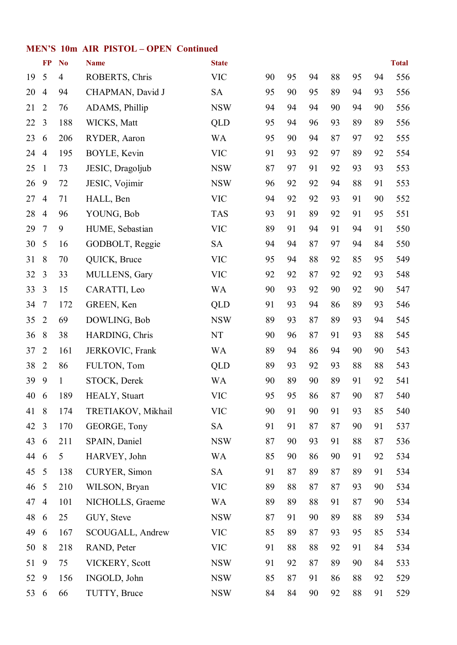#### **MEN'S 10m AIR PISTOL – OPEN Continued**

|    | $\bf FP$       | N <sub>o</sub> | <b>Name</b>          | <b>State</b> |    |    |    |    |    |    | <b>Total</b> |
|----|----------------|----------------|----------------------|--------------|----|----|----|----|----|----|--------------|
| 19 | 5              | 4              | ROBERTS, Chris       | <b>VIC</b>   | 90 | 95 | 94 | 88 | 95 | 94 | 556          |
| 20 | $\overline{4}$ | 94             | CHAPMAN, David J     | <b>SA</b>    | 95 | 90 | 95 | 89 | 94 | 93 | 556          |
| 21 | $\overline{2}$ | 76             | ADAMS, Phillip       | <b>NSW</b>   | 94 | 94 | 94 | 90 | 94 | 90 | 556          |
| 22 | $\overline{3}$ | 188            | WICKS, Matt          | <b>QLD</b>   | 95 | 94 | 96 | 93 | 89 | 89 | 556          |
| 23 | 6              | 206            | RYDER, Aaron         | <b>WA</b>    | 95 | 90 | 94 | 87 | 97 | 92 | 555          |
| 24 | $\overline{4}$ | 195            | BOYLE, Kevin         | <b>VIC</b>   | 91 | 93 | 92 | 97 | 89 | 92 | 554          |
| 25 | $\mathbf{1}$   | 73             | JESIC, Dragoljub     | <b>NSW</b>   | 87 | 97 | 91 | 92 | 93 | 93 | 553          |
| 26 | 9              | 72             | JESIC, Vojimir       | <b>NSW</b>   | 96 | 92 | 92 | 94 | 88 | 91 | 553          |
| 27 | $\overline{4}$ | 71             | HALL, Ben            | <b>VIC</b>   | 94 | 92 | 92 | 93 | 91 | 90 | 552          |
| 28 | $\overline{4}$ | 96             | YOUNG, Bob           | <b>TAS</b>   | 93 | 91 | 89 | 92 | 91 | 95 | 551          |
| 29 | $\tau$         | 9              | HUME, Sebastian      | <b>VIC</b>   | 89 | 91 | 94 | 91 | 94 | 91 | 550          |
| 30 | 5              | 16             | GODBOLT, Reggie      | <b>SA</b>    | 94 | 94 | 87 | 97 | 94 | 84 | 550          |
| 31 | 8              | 70             | QUICK, Bruce         | <b>VIC</b>   | 95 | 94 | 88 | 92 | 85 | 95 | 549          |
| 32 | $\overline{3}$ | 33             | MULLENS, Gary        | <b>VIC</b>   | 92 | 92 | 87 | 92 | 92 | 93 | 548          |
| 33 | 3              | 15             | CARATTI, Leo         | <b>WA</b>    | 90 | 93 | 92 | 90 | 92 | 90 | 547          |
| 34 | $\overline{7}$ | 172            | GREEN, Ken           | <b>QLD</b>   | 91 | 93 | 94 | 86 | 89 | 93 | 546          |
| 35 | $\overline{2}$ | 69             | DOWLING, Bob         | <b>NSW</b>   | 89 | 93 | 87 | 89 | 93 | 94 | 545          |
| 36 | 8              | 38             | HARDING, Chris       | NT           | 90 | 96 | 87 | 91 | 93 | 88 | 545          |
| 37 | $\overline{2}$ | 161            | JERKOVIC, Frank      | WA           | 89 | 94 | 86 | 94 | 90 | 90 | 543          |
| 38 | $\overline{2}$ | 86             | FULTON, Tom          | <b>QLD</b>   | 89 | 93 | 92 | 93 | 88 | 88 | 543          |
| 39 | 9              | $\mathbf{1}$   | STOCK, Derek         | <b>WA</b>    | 90 | 89 | 90 | 89 | 91 | 92 | 541          |
| 40 | 6              | 189            | <b>HEALY, Stuart</b> | <b>VIC</b>   | 95 | 95 | 86 | 87 | 90 | 87 | 540          |
| 41 | 8              | 174            | TRETIAKOV, Mikhail   | <b>VIC</b>   | 90 | 91 | 90 | 91 | 93 | 85 | 540          |
| 42 | 3              | 170            | GEORGE, Tony         | <b>SA</b>    | 91 | 91 | 87 | 87 | 90 | 91 | 537          |
| 43 | 6              | 211            | SPAIN, Daniel        | <b>NSW</b>   | 87 | 90 | 93 | 91 | 88 | 87 | 536          |
| 44 | 6              | 5              | HARVEY, John         | <b>WA</b>    | 85 | 90 | 86 | 90 | 91 | 92 | 534          |
| 45 | 5              | 138            | CURYER, Simon        | <b>SA</b>    | 91 | 87 | 89 | 87 | 89 | 91 | 534          |
| 46 | 5              | 210            | WILSON, Bryan        | <b>VIC</b>   | 89 | 88 | 87 | 87 | 93 | 90 | 534          |
| 47 | $\overline{4}$ | 101            | NICHOLLS, Graeme     | WA           | 89 | 89 | 88 | 91 | 87 | 90 | 534          |
| 48 | 6              | 25             | GUY, Steve           | <b>NSW</b>   | 87 | 91 | 90 | 89 | 88 | 89 | 534          |
| 49 | 6              | 167            | SCOUGALL, Andrew     | <b>VIC</b>   | 85 | 89 | 87 | 93 | 95 | 85 | 534          |
| 50 | 8              | 218            | RAND, Peter          | <b>VIC</b>   | 91 | 88 | 88 | 92 | 91 | 84 | 534          |
| 51 | 9              | 75             | VICKERY, Scott       | <b>NSW</b>   | 91 | 92 | 87 | 89 | 90 | 84 | 533          |
| 52 | 9              | 156            | INGOLD, John         | <b>NSW</b>   | 85 | 87 | 91 | 86 | 88 | 92 | 529          |
| 53 | 6              | 66             | TUTTY, Bruce         | <b>NSW</b>   | 84 | 84 | 90 | 92 | 88 | 91 | 529          |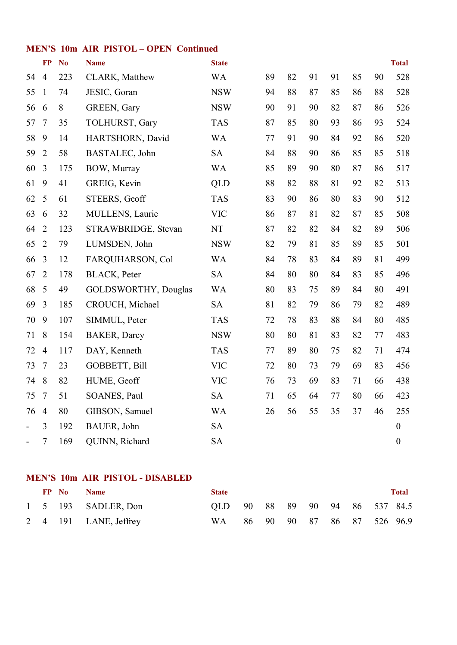#### **MEN'S 10m AIR PISTOL – OPEN Continued**

|    | <b>FP</b>      | N <sub>o</sub> | <b>Name</b>                 | <b>State</b>               |    |    |    |    |    |    | <b>Total</b>     |
|----|----------------|----------------|-----------------------------|----------------------------|----|----|----|----|----|----|------------------|
| 54 | $\overline{4}$ | 223            | CLARK, Matthew              | <b>WA</b>                  | 89 | 82 | 91 | 91 | 85 | 90 | 528              |
| 55 | $\mathbf{1}$   | 74             | JESIC, Goran                | <b>NSW</b>                 | 94 | 88 | 87 | 85 | 86 | 88 | 528              |
| 56 | 6              | 8              | GREEN, Gary                 | <b>NSW</b>                 | 90 | 91 | 90 | 82 | 87 | 86 | 526              |
| 57 | $\tau$         | 35             | TOLHURST, Gary              | <b>TAS</b>                 | 87 | 85 | 80 | 93 | 86 | 93 | 524              |
| 58 | 9              | 14             | HARTSHORN, David            | <b>WA</b>                  | 77 | 91 | 90 | 84 | 92 | 86 | 520              |
| 59 | $\sqrt{2}$     | 58             | BASTALEC, John              | <b>SA</b>                  | 84 | 88 | 90 | 86 | 85 | 85 | 518              |
| 60 | $\overline{3}$ | 175            | BOW, Murray                 | <b>WA</b>                  | 85 | 89 | 90 | 80 | 87 | 86 | 517              |
| 61 | 9              | 41             | GREIG, Kevin                | <b>QLD</b>                 | 88 | 82 | 88 | 81 | 92 | 82 | 513              |
| 62 | 5              | 61             | STEERS, Geoff               | <b>TAS</b>                 | 83 | 90 | 86 | 80 | 83 | 90 | 512              |
| 63 | 6              | 32             | MULLENS, Laurie             | <b>VIC</b>                 | 86 | 87 | 81 | 82 | 87 | 85 | 508              |
| 64 | $\overline{2}$ | 123            | STRAWBRIDGE, Stevan         | $\mathop{\rm NT}\nolimits$ | 87 | 82 | 82 | 84 | 82 | 89 | 506              |
| 65 | $\overline{2}$ | 79             | LUMSDEN, John               | <b>NSW</b>                 | 82 | 79 | 81 | 85 | 89 | 85 | 501              |
| 66 | $\overline{3}$ | 12             | FARQUHARSON, Col            | <b>WA</b>                  | 84 | 78 | 83 | 84 | 89 | 81 | 499              |
| 67 | $\overline{2}$ | 178            | <b>BLACK</b> , Peter        | <b>SA</b>                  | 84 | 80 | 80 | 84 | 83 | 85 | 496              |
| 68 | 5              | 49             | <b>GOLDSWORTHY, Douglas</b> | <b>WA</b>                  | 80 | 83 | 75 | 89 | 84 | 80 | 491              |
| 69 | $\overline{3}$ | 185            | CROUCH, Michael             | <b>SA</b>                  | 81 | 82 | 79 | 86 | 79 | 82 | 489              |
| 70 | 9              | 107            | SIMMUL, Peter               | <b>TAS</b>                 | 72 | 78 | 83 | 88 | 84 | 80 | 485              |
| 71 | 8              | 154            | <b>BAKER, Darcy</b>         | <b>NSW</b>                 | 80 | 80 | 81 | 83 | 82 | 77 | 483              |
| 72 | $\overline{4}$ | 117            | DAY, Kenneth                | <b>TAS</b>                 | 77 | 89 | 80 | 75 | 82 | 71 | 474              |
| 73 | $\overline{7}$ | 23             | GOBBETT, Bill               | <b>VIC</b>                 | 72 | 80 | 73 | 79 | 69 | 83 | 456              |
| 74 | 8              | 82             | HUME, Geoff                 | <b>VIC</b>                 | 76 | 73 | 69 | 83 | 71 | 66 | 438              |
| 75 | $\tau$         | 51             | SOANES, Paul                | <b>SA</b>                  | 71 | 65 | 64 | 77 | 80 | 66 | 423              |
| 76 | $\overline{4}$ | 80             | GIBSON, Samuel              | <b>WA</b>                  | 26 | 56 | 55 | 35 | 37 | 46 | 255              |
|    | 3              | 192            | BAUER, John                 | <b>SA</b>                  |    |    |    |    |    |    | $\boldsymbol{0}$ |
|    | $\tau$         | 169            | QUINN, Richard              | <b>SA</b>                  |    |    |    |    |    |    | $\boldsymbol{0}$ |

### **MEN'S 10m AIR PISTOL DISABLED**

|  | FP No | <b>Name</b>           | <b>State</b>                   |  |  |  |                            | <b>Total</b> |
|--|-------|-----------------------|--------------------------------|--|--|--|----------------------------|--------------|
|  |       | 1 5 193 SADLER, Don   | QLD 90 88 89 90 94 86 537 84.5 |  |  |  |                            |              |
|  |       | 2 4 191 LANE, Jeffrey | WA \                           |  |  |  | 86 90 90 87 86 87 526 96.9 |              |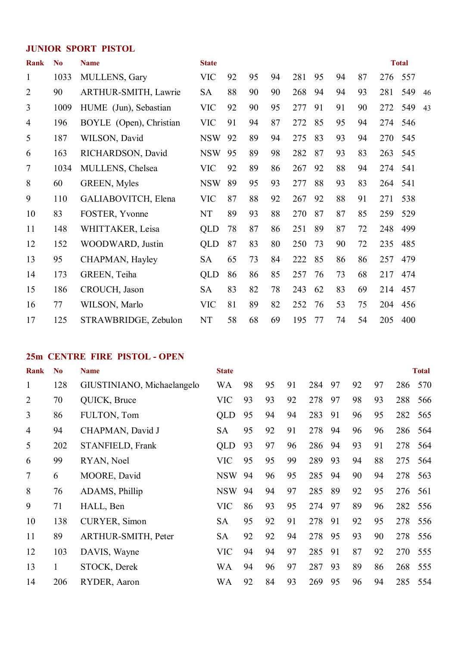#### **JUNIOR SPORT PISTOL**

| <b>Rank</b>    | N <sub>0</sub> | <b>Name</b>             | <b>State</b> |    |    |    |     |    |    |    |     | <b>Total</b> |    |
|----------------|----------------|-------------------------|--------------|----|----|----|-----|----|----|----|-----|--------------|----|
| $\mathbf{1}$   | 1033           | MULLENS, Gary           | <b>VIC</b>   | 92 | 95 | 94 | 281 | 95 | 94 | 87 | 276 | 557          |    |
| $\overline{2}$ | 90             | ARTHUR-SMITH, Lawrie    | <b>SA</b>    | 88 | 90 | 90 | 268 | 94 | 94 | 93 | 281 | 549          | 46 |
| 3              | 1009           | HUME (Jun), Sebastian   | <b>VIC</b>   | 92 | 90 | 95 | 277 | 91 | 91 | 90 | 272 | 549          | 43 |
| 4              | 196            | BOYLE (Open), Christian | <b>VIC</b>   | 91 | 94 | 87 | 272 | 85 | 95 | 94 | 274 | 546          |    |
| 5              | 187            | WILSON, David           | <b>NSW</b>   | 92 | 89 | 94 | 275 | 83 | 93 | 94 | 270 | 545          |    |
| 6              | 163            | RICHARDSON, David       | <b>NSW</b>   | 95 | 89 | 98 | 282 | 87 | 93 | 83 | 263 | 545          |    |
| $\overline{7}$ | 1034           | MULLENS, Chelsea        | <b>VIC</b>   | 92 | 89 | 86 | 267 | 92 | 88 | 94 | 274 | 541          |    |
| 8              | 60             | <b>GREEN, Myles</b>     | <b>NSW</b>   | 89 | 95 | 93 | 277 | 88 | 93 | 83 | 264 | 541          |    |
| 9              | 110            | GALIABOVITCH, Elena     | <b>VIC</b>   | 87 | 88 | 92 | 267 | 92 | 88 | 91 | 271 | 538          |    |
| 10             | 83             | FOSTER, Yvonne          | <b>NT</b>    | 89 | 93 | 88 | 270 | 87 | 87 | 85 | 259 | 529          |    |
| 11             | 148            | WHITTAKER, Leisa        | QLD          | 78 | 87 | 86 | 251 | 89 | 87 | 72 | 248 | 499          |    |
| 12             | 152            | WOODWARD, Justin        | QLD          | 87 | 83 | 80 | 250 | 73 | 90 | 72 | 235 | 485          |    |
| 13             | 95             | CHAPMAN, Hayley         | <b>SA</b>    | 65 | 73 | 84 | 222 | 85 | 86 | 86 | 257 | 479          |    |
| 14             | 173            | GREEN, Teiha            | QLD          | 86 | 86 | 85 | 257 | 76 | 73 | 68 | 217 | 474          |    |
| 15             | 186            | CROUCH, Jason           | <b>SA</b>    | 83 | 82 | 78 | 243 | 62 | 83 | 69 | 214 | 457          |    |
| 16             | 77             | WILSON, Marlo           | <b>VIC</b>   | 81 | 89 | 82 | 252 | 76 | 53 | 75 | 204 | 456          |    |
| 17             | 125            | STRAWBRIDGE, Zebulon    | <b>NT</b>    | 58 | 68 | 69 | 195 | 77 | 74 | 54 | 205 | 400          |    |

#### **25m CENTRE FIRE PISTOL OPEN**

| Rank           | N <sub>0</sub> | <b>Name</b>                | <b>State</b> |    |    |    |     |    |    |    |     | <b>Total</b> |
|----------------|----------------|----------------------------|--------------|----|----|----|-----|----|----|----|-----|--------------|
| 1              | 128            | GIUSTINIANO, Michaelangelo | WA           | 98 | 95 | 91 | 284 | 97 | 92 | 97 | 286 | 570          |
| $\overline{2}$ | 70             | QUICK, Bruce               | <b>VIC</b>   | 93 | 93 | 92 | 278 | 97 | 98 | 93 | 288 | 566          |
| $\overline{3}$ | 86             | FULTON, Tom                | <b>QLD</b>   | 95 | 94 | 94 | 283 | 91 | 96 | 95 | 282 | 565          |
| $\overline{4}$ | 94             | CHAPMAN, David J           | <b>SA</b>    | 95 | 92 | 91 | 278 | 94 | 96 | 96 | 286 | 564          |
| 5              | 202            | STANFIELD, Frank           | <b>QLD</b>   | 93 | 97 | 96 | 286 | 94 | 93 | 91 | 278 | 564          |
| 6              | 99             | RYAN, Noel                 | <b>VIC</b>   | 95 | 95 | 99 | 289 | 93 | 94 | 88 | 275 | 564          |
| 7              | 6              | MOORE, David               | <b>NSW</b>   | 94 | 96 | 95 | 285 | 94 | 90 | 94 | 278 | 563          |
| 8              | 76             | ADAMS, Phillip             | <b>NSW</b>   | 94 | 94 | 97 | 285 | 89 | 92 | 95 | 276 | 561          |
| 9              | 71             | HALL, Ben                  | <b>VIC</b>   | 86 | 93 | 95 | 274 | 97 | 89 | 96 | 282 | 556          |
| 10             | 138            | <b>CURYER, Simon</b>       | <b>SA</b>    | 95 | 92 | 91 | 278 | 91 | 92 | 95 | 278 | 556          |
| 11             | 89             | <b>ARTHUR-SMITH, Peter</b> | <b>SA</b>    | 92 | 92 | 94 | 278 | 95 | 93 | 90 | 278 | 556          |
| 12             | 103            | DAVIS, Wayne               | <b>VIC</b>   | 94 | 94 | 97 | 285 | 91 | 87 | 92 | 270 | 555          |
| 13             | $\mathbf{1}$   | STOCK, Derek               | WA           | 94 | 96 | 97 | 287 | 93 | 89 | 86 | 268 | 555          |
| 14             | 206            | RYDER, Aaron               | WA           | 92 | 84 | 93 | 269 | 95 | 96 | 94 | 285 | 554          |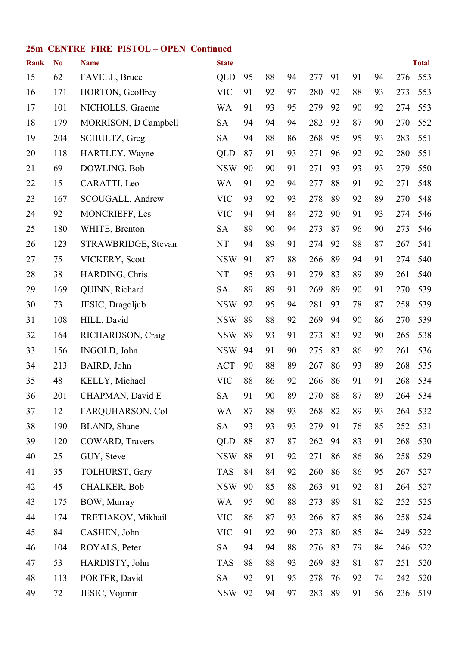#### **25m CENTRE FIRE PISTOL – OPEN Continued**

| <b>Rank</b> | N <sub>o</sub> | <b>Name</b>          | <b>State</b> |    |    |    |     |    |    |    |     | <b>Total</b> |
|-------------|----------------|----------------------|--------------|----|----|----|-----|----|----|----|-----|--------------|
| 15          | 62             | FAVELL, Bruce        | QLD          | 95 | 88 | 94 | 277 | 91 | 91 | 94 | 276 | 553          |
| 16          | 171            | HORTON, Geoffrey     | <b>VIC</b>   | 91 | 92 | 97 | 280 | 92 | 88 | 93 | 273 | 553          |
| 17          | 101            | NICHOLLS, Graeme     | WA           | 91 | 93 | 95 | 279 | 92 | 90 | 92 | 274 | 553          |
| 18          | 179            | MORRISON, D Campbell | <b>SA</b>    | 94 | 94 | 94 | 282 | 93 | 87 | 90 | 270 | 552          |
| 19          | 204            | SCHULTZ, Greg        | <b>SA</b>    | 94 | 88 | 86 | 268 | 95 | 95 | 93 | 283 | 551          |
| 20          | 118            | HARTLEY, Wayne       | QLD          | 87 | 91 | 93 | 271 | 96 | 92 | 92 | 280 | 551          |
| 21          | 69             | DOWLING, Bob         | <b>NSW</b>   | 90 | 90 | 91 | 271 | 93 | 93 | 93 | 279 | 550          |
| 22          | 15             | CARATTI, Leo         | <b>WA</b>    | 91 | 92 | 94 | 277 | 88 | 91 | 92 | 271 | 548          |
| 23          | 167            | SCOUGALL, Andrew     | <b>VIC</b>   | 93 | 92 | 93 | 278 | 89 | 92 | 89 | 270 | 548          |
| 24          | 92             | MONCRIEFF, Les       | <b>VIC</b>   | 94 | 94 | 84 | 272 | 90 | 91 | 93 | 274 | 546          |
| 25          | 180            | WHITE, Brenton       | <b>SA</b>    | 89 | 90 | 94 | 273 | 87 | 96 | 90 | 273 | 546          |
| 26          | 123            | STRAWBRIDGE, Stevan  | NT           | 94 | 89 | 91 | 274 | 92 | 88 | 87 | 267 | 541          |
| 27          | 75             | VICKERY, Scott       | <b>NSW</b>   | 91 | 87 | 88 | 266 | 89 | 94 | 91 | 274 | 540          |
| 28          | 38             | HARDING, Chris       | NT           | 95 | 93 | 91 | 279 | 83 | 89 | 89 | 261 | 540          |
| 29          | 169            | QUINN, Richard       | <b>SA</b>    | 89 | 89 | 91 | 269 | 89 | 90 | 91 | 270 | 539          |
| 30          | 73             | JESIC, Dragoljub     | <b>NSW</b>   | 92 | 95 | 94 | 281 | 93 | 78 | 87 | 258 | 539          |
| 31          | 108            | HILL, David          | <b>NSW</b>   | 89 | 88 | 92 | 269 | 94 | 90 | 86 | 270 | 539          |
| 32          | 164            | RICHARDSON, Craig    | <b>NSW</b>   | 89 | 93 | 91 | 273 | 83 | 92 | 90 | 265 | 538          |
| 33          | 156            | INGOLD, John         | <b>NSW</b>   | 94 | 91 | 90 | 275 | 83 | 86 | 92 | 261 | 536          |
| 34          | 213            | BAIRD, John          | <b>ACT</b>   | 90 | 88 | 89 | 267 | 86 | 93 | 89 | 268 | 535          |
| 35          | 48             | KELLY, Michael       | <b>VIC</b>   | 88 | 86 | 92 | 266 | 86 | 91 | 91 | 268 | 534          |
| 36          | 201            | CHAPMAN, David E     | <b>SA</b>    | 91 | 90 | 89 | 270 | 88 | 87 | 89 | 264 | 534          |
| 37          | 12             | FARQUHARSON, Col     | <b>WA</b>    | 87 | 88 | 93 | 268 | 82 | 89 | 93 | 264 | 532          |
| 38          | 190            | BLAND, Shane         | <b>SA</b>    | 93 | 93 | 93 | 279 | 91 | 76 | 85 | 252 | 531          |
| 39          | 120            | COWARD, Travers      | <b>QLD</b>   | 88 | 87 | 87 | 262 | 94 | 83 | 91 | 268 | 530          |
| 40          | 25             | GUY, Steve           | <b>NSW</b>   | 88 | 91 | 92 | 271 | 86 | 86 | 86 | 258 | 529          |
| 41          | 35             | TOLHURST, Gary       | <b>TAS</b>   | 84 | 84 | 92 | 260 | 86 | 86 | 95 | 267 | 527          |
| 42          | 45             | <b>CHALKER, Bob</b>  | <b>NSW</b>   | 90 | 85 | 88 | 263 | 91 | 92 | 81 | 264 | 527          |
| 43          | 175            | BOW, Murray          | <b>WA</b>    | 95 | 90 | 88 | 273 | 89 | 81 | 82 | 252 | 525          |
| 44          | 174            | TRETIAKOV, Mikhail   | <b>VIC</b>   | 86 | 87 | 93 | 266 | 87 | 85 | 86 | 258 | 524          |
| 45          | 84             | CASHEN, John         | <b>VIC</b>   | 91 | 92 | 90 | 273 | 80 | 85 | 84 | 249 | 522          |
| 46          | 104            | ROYALS, Peter        | <b>SA</b>    | 94 | 94 | 88 | 276 | 83 | 79 | 84 | 246 | 522          |
| 47          | 53             | HARDISTY, John       | <b>TAS</b>   | 88 | 88 | 93 | 269 | 83 | 81 | 87 | 251 | 520          |
| 48          | 113            | PORTER, David        | <b>SA</b>    | 92 | 91 | 95 | 278 | 76 | 92 | 74 | 242 | 520          |
| 49          | 72             | JESIC, Vojimir       | <b>NSW</b>   | 92 | 94 | 97 | 283 | 89 | 91 | 56 | 236 | 519          |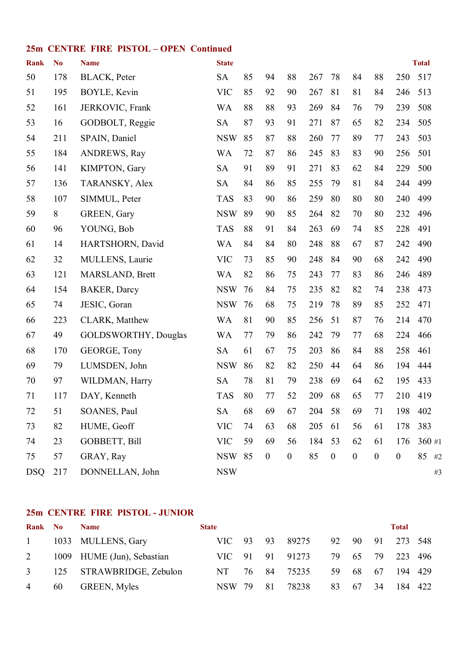#### **25m CENTRE FIRE PISTOL – OPEN Continued**

| <b>Rank</b> | N <sub>0</sub> | <b>Name</b>                 | <b>State</b> |    |                  |                  |     |                  |                  |                  |                  | <b>Total</b> |
|-------------|----------------|-----------------------------|--------------|----|------------------|------------------|-----|------------------|------------------|------------------|------------------|--------------|
| 50          | 178            | <b>BLACK</b> , Peter        | <b>SA</b>    | 85 | 94               | 88               | 267 | 78               | 84               | 88               | 250              | 517          |
| 51          | 195            | BOYLE, Kevin                | <b>VIC</b>   | 85 | 92               | 90               | 267 | 81               | 81               | 84               | 246              | 513          |
| 52          | 161            | JERKOVIC, Frank             | WA           | 88 | 88               | 93               | 269 | 84               | 76               | 79               | 239              | 508          |
| 53          | 16             | GODBOLT, Reggie             | <b>SA</b>    | 87 | 93               | 91               | 271 | 87               | 65               | 82               | 234              | 505          |
| 54          | 211            | SPAIN, Daniel               | <b>NSW</b>   | 85 | 87               | 88               | 260 | 77               | 89               | 77               | 243              | 503          |
| 55          | 184            | <b>ANDREWS, Ray</b>         | <b>WA</b>    | 72 | 87               | 86               | 245 | 83               | 83               | 90               | 256              | 501          |
| 56          | 141            | KIMPTON, Gary               | <b>SA</b>    | 91 | 89               | 91               | 271 | 83               | 62               | 84               | 229              | 500          |
| 57          | 136            | TARANSKY, Alex              | <b>SA</b>    | 84 | 86               | 85               | 255 | 79               | 81               | 84               | 244              | 499          |
| 58          | 107            | SIMMUL, Peter               | <b>TAS</b>   | 83 | 90               | 86               | 259 | 80               | 80               | 80               | 240              | 499          |
| 59          | 8              | <b>GREEN, Gary</b>          | <b>NSW</b>   | 89 | 90               | 85               | 264 | 82               | 70               | 80               | 232              | 496          |
| 60          | 96             | YOUNG, Bob                  | <b>TAS</b>   | 88 | 91               | 84               | 263 | 69               | 74               | 85               | 228              | 491          |
| 61          | 14             | HARTSHORN, David            | <b>WA</b>    | 84 | 84               | 80               | 248 | 88               | 67               | 87               | 242              | 490          |
| 62          | 32             | MULLENS, Laurie             | <b>VIC</b>   | 73 | 85               | 90               | 248 | 84               | 90               | 68               | 242              | 490          |
| 63          | 121            | MARSLAND, Brett             | <b>WA</b>    | 82 | 86               | 75               | 243 | 77               | 83               | 86               | 246              | 489          |
| 64          | 154            | <b>BAKER, Darcy</b>         | <b>NSW</b>   | 76 | 84               | 75               | 235 | 82               | 82               | 74               | 238              | 473          |
| 65          | 74             | JESIC, Goran                | <b>NSW</b>   | 76 | 68               | 75               | 219 | 78               | 89               | 85               | 252              | 471          |
| 66          | 223            | CLARK, Matthew              | <b>WA</b>    | 81 | 90               | 85               | 256 | 51               | 87               | 76               | 214              | 470          |
| 67          | 49             | <b>GOLDSWORTHY, Douglas</b> | <b>WA</b>    | 77 | 79               | 86               | 242 | 79               | 77               | 68               | 224              | 466          |
| 68          | 170            | GEORGE, Tony                | <b>SA</b>    | 61 | 67               | 75               | 203 | 86               | 84               | 88               | 258              | 461          |
| 69          | 79             | LUMSDEN, John               | <b>NSW</b>   | 86 | 82               | 82               | 250 | 44               | 64               | 86               | 194              | 444          |
| 70          | 97             | WILDMAN, Harry              | <b>SA</b>    | 78 | 81               | 79               | 238 | 69               | 64               | 62               | 195              | 433          |
| 71          | 117            | DAY, Kenneth                | <b>TAS</b>   | 80 | 77               | 52               | 209 | 68               | 65               | 77               | 210              | 419          |
| 72          | 51             | SOANES, Paul                | <b>SA</b>    | 68 | 69               | 67               | 204 | 58               | 69               | 71               | 198              | 402          |
| 73          | 82             | HUME, Geoff                 | <b>VIC</b>   | 74 | 63               | 68               | 205 | 61               | 56               | 61               | 178              | 383          |
| 74          | 23             | GOBBETT, Bill               | <b>VIC</b>   | 59 | 69               | 56               | 184 | 53               | 62               | 61               | 176              | $360$ #1     |
| 75          | 57             | GRAY, Ray                   | <b>NSW</b>   | 85 | $\boldsymbol{0}$ | $\boldsymbol{0}$ | 85  | $\boldsymbol{0}$ | $\boldsymbol{0}$ | $\boldsymbol{0}$ | $\boldsymbol{0}$ | 85 #2        |
| <b>DSQ</b>  | 217            | DONNELLAN, John             | <b>NSW</b>   |    |                  |                  |     |                  |                  |                  |                  | $\#3$        |

#### **25m CENTRE FIRE PISTOL JUNIOR**

| Rank No        |    | <b>Name</b>                | <b>State</b> |       |                 |     |          |     | <b>Total</b> |  |
|----------------|----|----------------------------|--------------|-------|-----------------|-----|----------|-----|--------------|--|
| 1              |    | 1033 MULLENS, Gary         |              |       | VIC 93 93 89275 |     | 92 90 91 |     | 273 548      |  |
| $\overline{2}$ |    | 1009 HUME (Jun), Sebastian |              |       | VIC 91 91 91273 | 79. | 65       | 79  | 223 496      |  |
|                |    | 3 125 STRAWBRIDGE, Zebulon | NT -         | 76 84 | 75235           | 59  | -68      | 67  | 194 429      |  |
| $\overline{4}$ | 60 | <b>GREEN, Myles</b>        | NSW 79 81    |       | 78238           | 83  | 67       | -34 | 184 422      |  |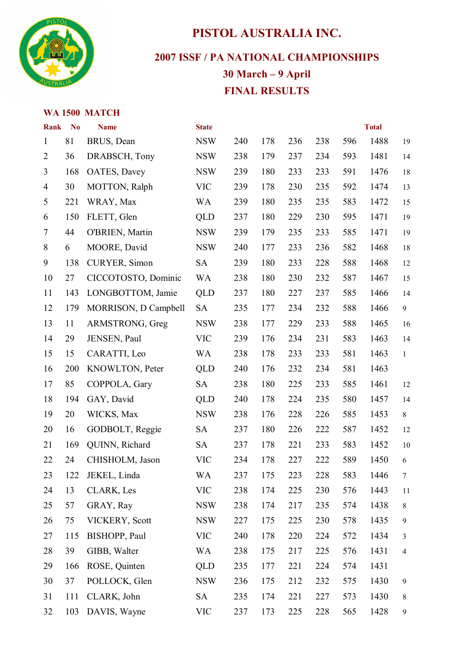

## **PISTOL AUSTRALIA INC.**

**2007 ISSF / PA NATIONAL CHAMPIONSHIPS** 

## **30 March – 9 April FINAL RESULTS**

#### **WA 1500 MATCH**

| <b>Rank</b>    | N <sub>o</sub> | <b>Name</b>          | <b>State</b> |     |     |     |     |     | <b>Total</b> |                  |
|----------------|----------------|----------------------|--------------|-----|-----|-----|-----|-----|--------------|------------------|
| $\mathbf{1}$   | 81             | BRUS, Dean           | <b>NSW</b>   | 240 | 178 | 236 | 238 | 596 | 1488         | 19               |
| $\overline{2}$ | 36             | DRABSCH, Tony        | <b>NSW</b>   | 238 | 179 | 237 | 234 | 593 | 1481         | 14               |
| $\overline{3}$ | 168            | OATES, Davey         | <b>NSW</b>   | 239 | 180 | 233 | 233 | 591 | 1476         | 18               |
| $\overline{4}$ | 30             | MOTTON, Ralph        | <b>VIC</b>   | 239 | 178 | 230 | 235 | 592 | 1474         | 13               |
| 5              | 221            | WRAY, Max            | <b>WA</b>    | 239 | 180 | 235 | 235 | 583 | 1472         | 15               |
| 6              | 150            | FLETT, Glen          | QLD          | 237 | 180 | 229 | 230 | 595 | 1471         | 19               |
| $\tau$         | 44             | O'BRIEN, Martin      | <b>NSW</b>   | 239 | 179 | 235 | 233 | 585 | 1471         | 19               |
| 8              | 6              | MOORE, David         | <b>NSW</b>   | 240 | 177 | 233 | 236 | 582 | 1468         | 18               |
| 9              | 138            | CURYER, Simon        | <b>SA</b>    | 239 | 180 | 233 | 228 | 588 | 1468         | 12               |
| 10             | 27             | CICCOTOSTO, Dominic  | <b>WA</b>    | 238 | 180 | 230 | 232 | 587 | 1467         | 15               |
| 11             | 143            | LONGBOTTOM, Jamie    | QLD          | 237 | 180 | 227 | 237 | 585 | 1466         | 14               |
| 12             | 179            | MORRISON, D Campbell | <b>SA</b>    | 235 | 177 | 234 | 232 | 588 | 1466         | 9                |
| 13             | 11             | ARMSTRONG, Greg      | <b>NSW</b>   | 238 | 177 | 229 | 233 | 588 | 1465         | 16               |
| 14             | 29             | JENSEN, Paul         | <b>VIC</b>   | 239 | 176 | 234 | 231 | 583 | 1463         | 14               |
| 15             | 15             | CARATTI, Leo         | <b>WA</b>    | 238 | 178 | 233 | 233 | 581 | 1463         | $\mathbf{1}$     |
| 16             | 200            | KNOWLTON, Peter      | QLD          | 240 | 176 | 232 | 234 | 581 | 1463         |                  |
| 17             | 85             | COPPOLA, Gary        | <b>SA</b>    | 238 | 180 | 225 | 233 | 585 | 1461         | 12               |
| 18             | 194            | GAY, David           | QLD          | 240 | 178 | 224 | 235 | 580 | 1457         | 14               |
| 19             | 20             | WICKS, Max           | <b>NSW</b>   | 238 | 176 | 228 | 226 | 585 | 1453         | 8                |
| 20             | 16             | GODBOLT, Reggie      | <b>SA</b>    | 237 | 180 | 226 | 222 | 587 | 1452         | 12               |
| 21             | 169            | QUINN, Richard       | <b>SA</b>    | 237 | 178 | 221 | 233 | 583 | 1452         | 10               |
| 22             | 24             | CHISHOLM, Jason      | <b>VIC</b>   | 234 | 178 | 227 | 222 | 589 | 1450         | 6                |
| 23             | 122            | JEKEL, Linda         | <b>WA</b>    | 237 | 175 | 223 | 228 | 583 | 1446         | $\boldsymbol{7}$ |
| 24             | 13             | CLARK, Les           | <b>VIC</b>   | 238 | 174 | 225 | 230 | 576 | 1443         | 11               |
| 25             | 57             | GRAY, Ray            | <b>NSW</b>   | 238 | 174 | 217 | 235 | 574 | 1438         | 8                |
| 26             | 75             | VICKERY, Scott       | <b>NSW</b>   | 227 | 175 | 225 | 230 | 578 | 1435         | 9                |
| 27             | 115            | BISHOPP, Paul        | <b>VIC</b>   | 240 | 178 | 220 | 224 | 572 | 1434         | 3                |
| 28             | 39             | GIBB, Walter         | <b>WA</b>    | 238 | 175 | 217 | 225 | 576 | 1431         | $\overline{4}$   |
| 29             | 166            | ROSE, Quinten        | <b>QLD</b>   | 235 | 177 | 221 | 224 | 574 | 1431         |                  |
| 30             | 37             | POLLOCK, Glen        | <b>NSW</b>   | 236 | 175 | 212 | 232 | 575 | 1430         | 9                |
| 31             | 111            | CLARK, John          | <b>SA</b>    | 235 | 174 | 221 | 227 | 573 | 1430         | 8                |
| 32             | 103            | DAVIS, Wayne         | <b>VIC</b>   | 237 | 173 | 225 | 228 | 565 | 1428         | $\boldsymbol{9}$ |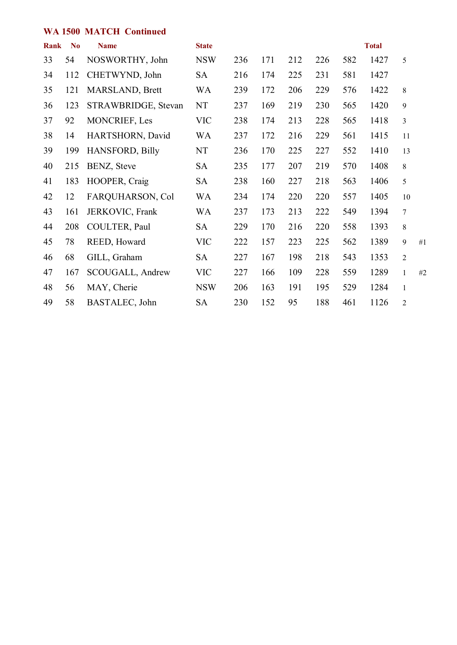#### **WA 1500 MATCH Continued**

| Rank | N <sub>0</sub> | <b>Name</b>            | <b>State</b> |     |     |     |     |     | <b>Total</b> |                |    |
|------|----------------|------------------------|--------------|-----|-----|-----|-----|-----|--------------|----------------|----|
| 33   | 54             | NOSWORTHY, John        | <b>NSW</b>   | 236 | 171 | 212 | 226 | 582 | 1427         | 5              |    |
| 34   | 112            | CHETWYND, John         | <b>SA</b>    | 216 | 174 | 225 | 231 | 581 | 1427         |                |    |
| 35   | 121            | MARSLAND, Brett        | <b>WA</b>    | 239 | 172 | 206 | 229 | 576 | 1422         | 8              |    |
| 36   | 123            | STRAWBRIDGE, Stevan    | NT           | 237 | 169 | 219 | 230 | 565 | 1420         | $\mathbf{9}$   |    |
| 37   | 92             | MONCRIEF, Les          | <b>VIC</b>   | 238 | 174 | 213 | 228 | 565 | 1418         | 3              |    |
| 38   | 14             | HARTSHORN, David       | WA           | 237 | 172 | 216 | 229 | 561 | 1415         | 11             |    |
| 39   | 199            | <b>HANSFORD, Billy</b> | NT           | 236 | 170 | 225 | 227 | 552 | 1410         | 13             |    |
| 40   | 215            | BENZ, Steve            | <b>SA</b>    | 235 | 177 | 207 | 219 | 570 | 1408         | 8              |    |
| 41   | 183            | HOOPER, Craig          | <b>SA</b>    | 238 | 160 | 227 | 218 | 563 | 1406         | 5              |    |
| 42   | 12             | FARQUHARSON, Col       | WA           | 234 | 174 | 220 | 220 | 557 | 1405         | 10             |    |
| 43   | 161            | JERKOVIC, Frank        | WA           | 237 | 173 | 213 | 222 | 549 | 1394         | $\overline{7}$ |    |
| 44   | 208            | COULTER, Paul          | <b>SA</b>    | 229 | 170 | 216 | 220 | 558 | 1393         | 8              |    |
| 45   | 78             | REED, Howard           | <b>VIC</b>   | 222 | 157 | 223 | 225 | 562 | 1389         | 9              | #1 |
| 46   | 68             | GILL, Graham           | <b>SA</b>    | 227 | 167 | 198 | 218 | 543 | 1353         | $\overline{2}$ |    |
| 47   | 167            | SCOUGALL, Andrew       | <b>VIC</b>   | 227 | 166 | 109 | 228 | 559 | 1289         | $\mathbf{1}$   | #2 |
| 48   | 56             | MAY, Cherie            | <b>NSW</b>   | 206 | 163 | 191 | 195 | 529 | 1284         | $\mathbf{1}$   |    |
| 49   | 58             | BASTALEC, John         | <b>SA</b>    | 230 | 152 | 95  | 188 | 461 | 1126         | $\overline{c}$ |    |